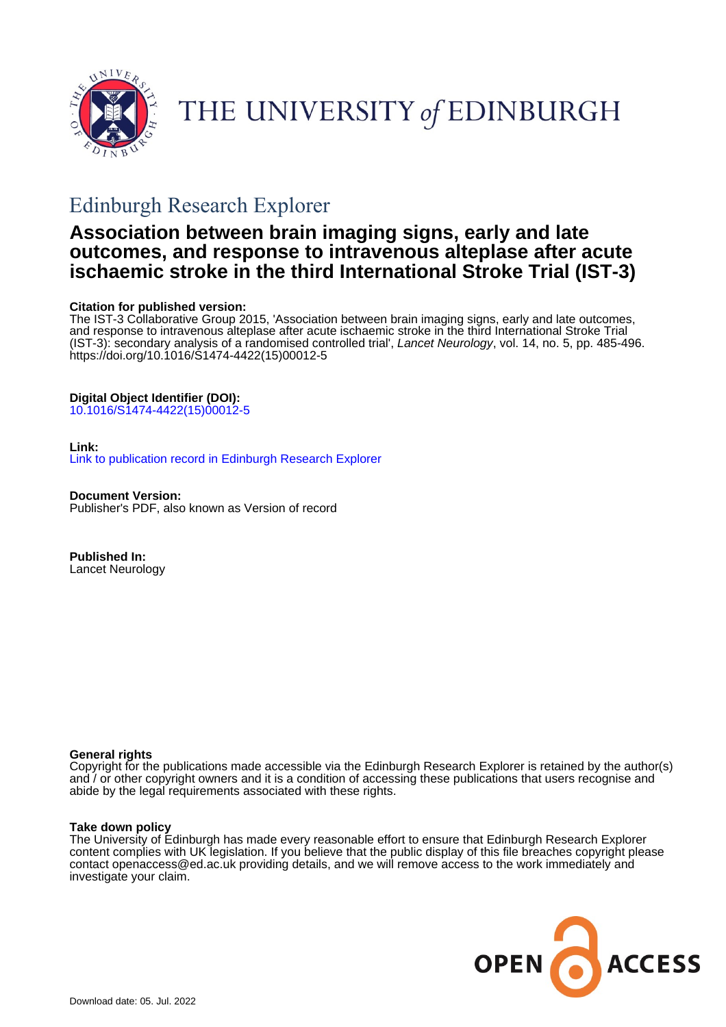

# THE UNIVERSITY of EDINBURGH

## Edinburgh Research Explorer

## **Association between brain imaging signs, early and late outcomes, and response to intravenous alteplase after acute ischaemic stroke in the third International Stroke Trial (IST-3)**

## **Citation for published version:**

The IST-3 Collaborative Group 2015, 'Association between brain imaging signs, early and late outcomes, and response to intravenous alteplase after acute ischaemic stroke in the third International Stroke Trial (IST-3): secondary analysis of a randomised controlled trial', Lancet Neurology, vol. 14, no. 5, pp. 485-496. [https://doi.org/10.1016/S1474-4422\(15\)00012-5](https://doi.org/10.1016/S1474-4422(15)00012-5)

## **Digital Object Identifier (DOI):**

[10.1016/S1474-4422\(15\)00012-5](https://doi.org/10.1016/S1474-4422(15)00012-5)

## **Link:**

[Link to publication record in Edinburgh Research Explorer](https://www.research.ed.ac.uk/en/publications/335a3bfe-67d7-4181-b227-b316ceebb501)

**Document Version:** Publisher's PDF, also known as Version of record

**Published In:** Lancet Neurology

### **General rights**

Copyright for the publications made accessible via the Edinburgh Research Explorer is retained by the author(s) and / or other copyright owners and it is a condition of accessing these publications that users recognise and abide by the legal requirements associated with these rights.

### **Take down policy**

The University of Edinburgh has made every reasonable effort to ensure that Edinburgh Research Explorer content complies with UK legislation. If you believe that the public display of this file breaches copyright please contact openaccess@ed.ac.uk providing details, and we will remove access to the work immediately and investigate your claim.

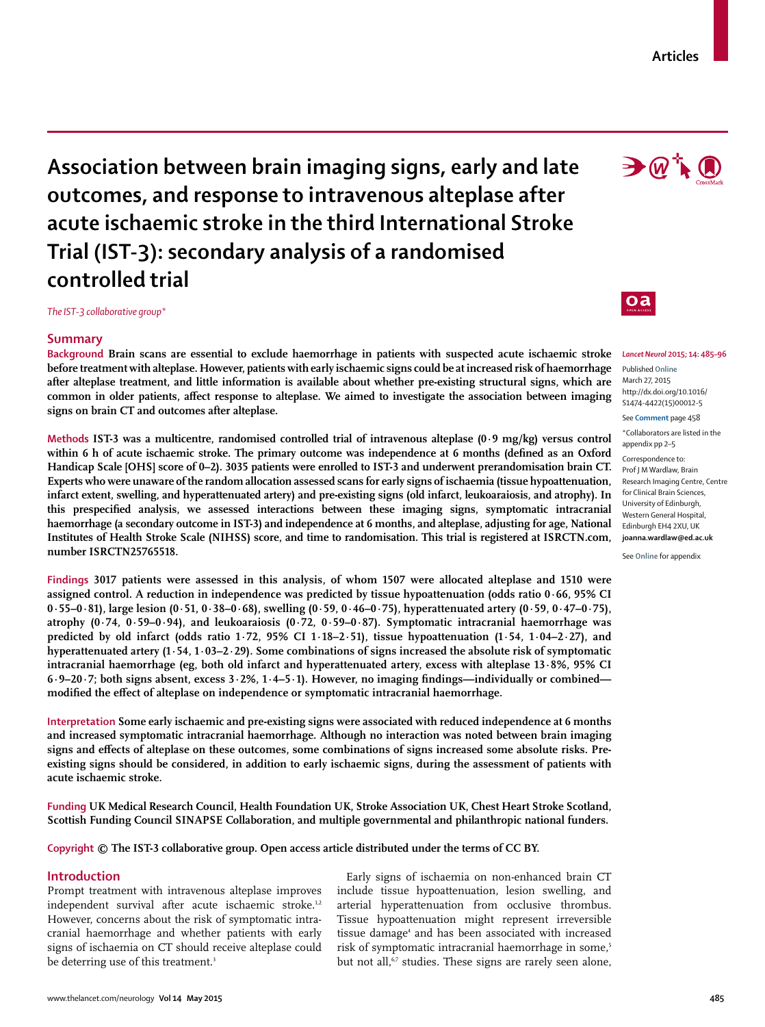# **Association between brain imaging signs, early and late outcomes, and response to intravenous alteplase after acute ischaemic stroke in the third International Stroke Trial (IST-3): secondary analysis of a randomised controlled trial**

*The IST-3 collaborative group\**

## **Summary**

**Background Brain scans are essential to exclude haemorrhage in patients with suspected acute ischaemic stroke before treatment with alteplase. However, patients with early ischaemic signs could be at increased risk of haemorrhage after alteplase treatment, and little information is available about whether pre-existing structural signs, which are**  common in older patients, affect response to alteplase. We aimed to investigate the association between imaging **signs on brain CT and outcomes after alteplase.**

**Methods IST-3 was a multicentre, randomised controlled trial of intravenous alteplase (0·9 mg/kg) versus control**  within 6 h of acute ischaemic stroke. The primary outcome was independence at 6 months (defined as an Oxford **Handicap Scale [OHS] score of 0–2). 3035 patients were enrolled to IST-3 and underwent prerandomisation brain CT. Experts who were unaware of the random allocation assessed scans for early signs of ischaemia (tissue hypoattenuation, infarct extent, swelling, and hyperattenuated artery) and pre-existing signs (old infarct, leukoaraiosis, and atrophy). In**  this prespecified analysis, we assessed interactions between these imaging signs, symptomatic intracranial **haemorrhage (a secondary outcome in IST-3) and independence at 6 months, and alteplase, adjusting for age, National Institutes of Health Stroke Scale (NIHSS) score, and time to randomisation. This trial is registered at ISRCTN.com, number ISRCTN25765518.**

**Findings 3017 patients were assessed in this analysis, of whom 1507 were allocated alteplase and 1510 were assigned control. A reduction in independence was predicted by tissue hypoattenuation (odds ratio 0∙66, 95% CI 0∙55–0∙81), large lesion (0∙51, 0∙38–0∙68), swelling (0∙59, 0∙46–0∙75), hyperattenuated artery (0∙59, 0∙47–0∙75), atrophy (0∙74, 0∙59–0∙94), and leukoaraiosis (0∙72, 0∙59–0∙87). Symptomatic intracranial haemorrhage was predicted by old infarct (odds ratio 1∙72, 95% CI 1∙18–2∙51), tissue hypoattenuation (1∙54, 1∙04–2∙27), and hyperattenuated artery (1∙54, 1∙03–2∙29). Some combinations of signs increased the absolute risk of symptomatic**  intracranial haemorrhage (eg, both old infarct and hyperattenuated artery, excess with alteplase 13*∙8%*, 95% CI **6∙9–20∙7; both signs absent, excess 3∙2%, 1∙4–5∙1). However, no imaging fi ndings—individually or combined** modified the effect of alteplase on independence or symptomatic intracranial haemorrhage.

**Interpretation Some early ischaemic and pre-existing signs were associated with reduced independence at 6 months and increased symptomatic intracranial haemorrhage. Although no interaction was noted between brain imaging signs and effects of alteplase on these outcomes, some combinations of signs increased some absolute risks. Preexisting signs should be considered, in addition to early ischaemic signs, during the assessment of patients with acute ischaemic stroke.**

**Funding UK Medical Research Council, Health Foundation UK, Stroke Association UK, Chest Heart Stroke Scotland, Scottish Funding Council SINAPSE Collaboration, and multiple governmental and philanthropic national funders.**

**Copyright © The IST-3 collaborative group. Open access article distributed under the terms of CC BY.**

## **Introduction**

Prompt treatment with intravenous alteplase improves independent survival after acute ischaemic stroke.<sup>1,2</sup> However, concerns about the risk of symptomatic intracranial haemorrhage and whether patients with early signs of ischaemia on CT should receive alteplase could be deterring use of this treatment.<sup>3</sup>

Early signs of ischaemia on non-enhanced brain CT include tissue hypoattenuation, lesion swelling, and arterial hyperattenuation from occlusive thrombus. Tissue hypoattenuation might represent irreversible tissue damage<sup>4</sup> and has been associated with increased risk of symptomatic intracranial haemorrhage in some,<sup>5</sup> but not all,<sup>67</sup> studies. These signs are rarely seen alone,

## $0a$

*Lancet Neurol* **2015; 14: 485–96** 

Published **Online** March 27, 2015 http://dx.doi.org/10.1016/ S1474-4422(15)00012-5

See **Comment** page 458

\*Collaborators are listed in the appendix pp 2–5 Correspondence to: Prof J M Wardlaw, Brain Research Imaging Centre, Centre for Clinical Brain Sciences, University of Edinburgh, Western General Hospital, Edinburgh EH4 2XU, UK **joanna.wardlaw@ed.ac.uk**

See **Online** for appendix

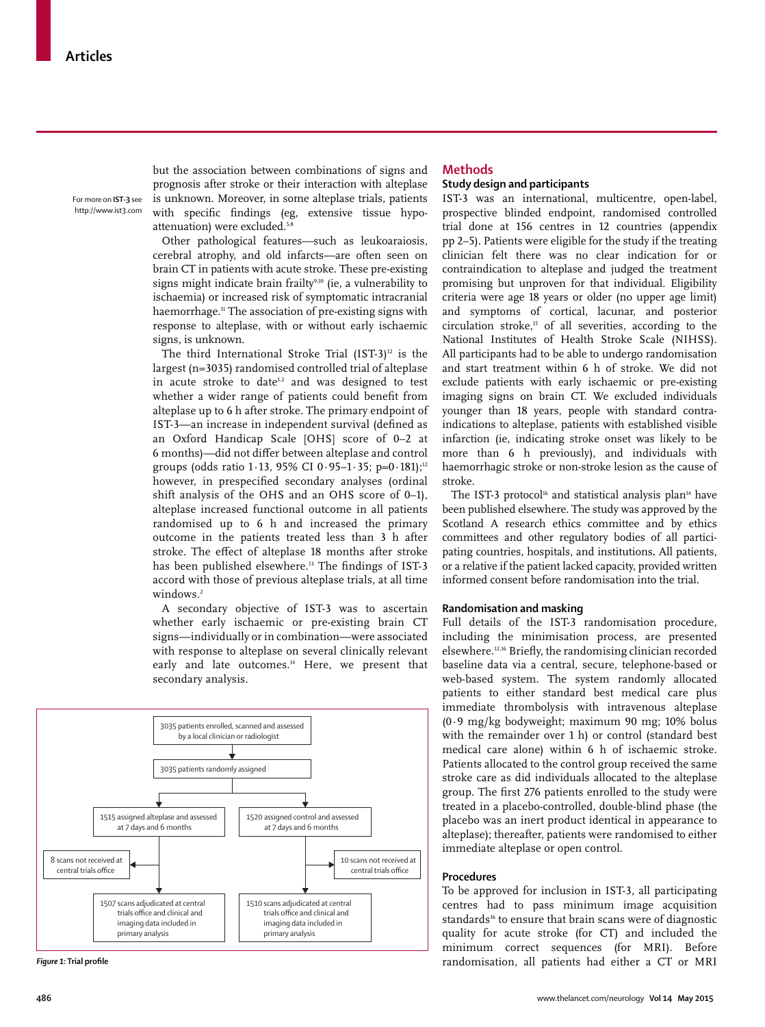For more on **IST-3** see http://www.ist3.com

but the association between combinations of signs and prognosis after stroke or their interaction with alteplase is unknown. Moreover, in some alteplase trials, patients with specific findings (eg, extensive tissue hypoattenuation) were excluded.<sup>5,8</sup>

Other pathological features—such as leukoaraiosis, cerebral atrophy, and old infarcts—are often seen on brain CT in patients with acute stroke. These pre-existing signs might indicate brain frailty<sup>9,10</sup> (ie, a vulnerability to ischaemia) or increased risk of symptomatic intracranial haemorrhage.11 The association of pre-existing signs with response to alteplase, with or without early ischaemic signs, is unknown.

The third International Stroke Trial  $(IST-3)^{12}$  is the largest (n=3035) randomised controlled trial of alteplase in acute stroke to date<sup>1,2</sup> and was designed to test whether a wider range of patients could benefit from alteplase up to 6 h after stroke. The primary endpoint of IST-3-an increase in independent survival (defined as an Oxford Handicap Scale [OHS] score of 0–2 at 6 months)-did not differ between alteplase and control groups (odds ratio 1.13, 95% CI 0.95-1.35; p=0.181);<sup>12</sup> however, in prespecified secondary analyses (ordinal shift analysis of the OHS and an OHS score of 0–1), alteplase increased functional outcome in all patients randomised up to 6 h and increased the primary outcome in the patients treated less than 3 h after stroke. The effect of alteplase 18 months after stroke has been published elsewhere.<sup>13</sup> The findings of IST-3 accord with those of previous alteplase trials, at all time windows.<sup>2</sup>

A secondary objective of IST-3 was to ascertain whether early ischaemic or pre-existing brain CT signs—individually or in combination—were associated with response to alteplase on several clinically relevant early and late outcomes.<sup>14</sup> Here, we present that secondary analysis.



**Figure 1:** Trial profile

#### **Methods**

#### **Study design and participants**

IST-3 was an international, multicentre, open-label, prospective blinded endpoint, randomised controlled trial done at 156 centres in 12 countries (appendix pp 2–5). Patients were eligible for the study if the treating clinician felt there was no clear indication for or contraindication to alteplase and judged the treatment promising but unproven for that individual. Eligibility criteria were age 18 years or older (no upper age limit) and symptoms of cortical, lacunar, and posterior circulation stroke,15 of all severities, according to the National Institutes of Health Stroke Scale (NIHSS). All participants had to be able to undergo randomisation and start treatment within 6 h of stroke. We did not exclude patients with early ischaemic or pre-existing imaging signs on brain CT. We excluded individuals younger than 18 years, people with standard contraindications to alteplase, patients with established visible infarction (ie, indicating stroke onset was likely to be more than 6 h previously), and individuals with haemorrhagic stroke or non-stroke lesion as the cause of stroke.

The IST-3 protocol<sup>16</sup> and statistical analysis plan<sup>14</sup> have been published elsewhere. The study was approved by the Scotland A research ethics committee and by ethics committees and other regulatory bodies of all participating countries, hospitals, and institutions**.** All patients, or a relative if the patient lacked capacity, provided written informed consent before randomisation into the trial.

#### **Randomisation and masking**

Full details of the IST-3 randomisation procedure, including the minimisation process, are presented elsewhere.<sup>12,16</sup> Briefly, the randomising clinician recorded baseline data via a central, secure, telephone-based or web-based system. The system randomly allocated patients to either standard best medical care plus immediate thrombolysis with intravenous alteplase (0·9 mg/kg bodyweight; maximum 90 mg; 10% bolus with the remainder over 1 h) or control (standard best medical care alone) within 6 h of ischaemic stroke. Patients allocated to the control group received the same stroke care as did individuals allocated to the alteplase group. The first 276 patients enrolled to the study were treated in a placebo-controlled, double-blind phase (the placebo was an inert product identical in appearance to alteplase); thereafter, patients were randomised to either immediate alteplase or open control.

#### **Procedures**

To be approved for inclusion in IST-3, all participating centres had to pass minimum image acquisition standards<sup>16</sup> to ensure that brain scans were of diagnostic quality for acute stroke (for CT) and included the minimum correct sequences (for MRI). Before randomisation, all patients had either a CT or MRI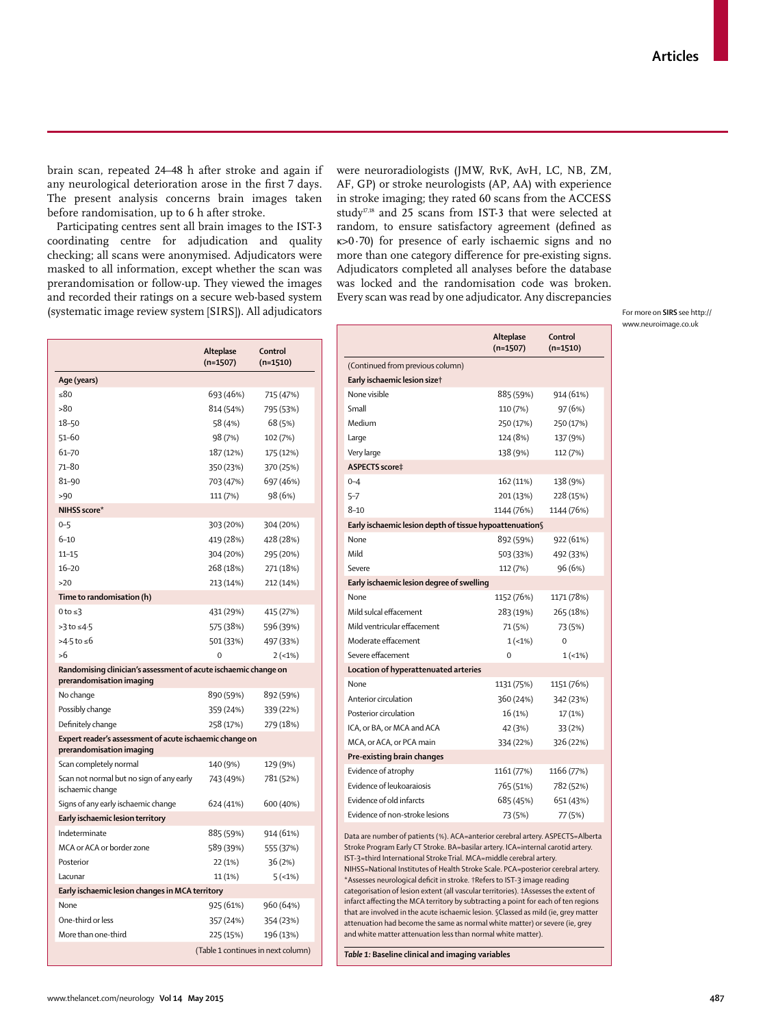brain scan, repeated 24–48 h after stroke and again if any neurological deterioration arose in the first 7 days. The present analysis concerns brain images taken before randomisation, up to 6 h after stroke.

Participating centres sent all brain images to the IST-3 coordinating centre for adjudication and quality checking; all scans were anonymised. Adjudicators were masked to all information, except whether the scan was prerandomisation or follow-up. They viewed the images and recorded their ratings on a secure web-based system (systematic image review system [SIRS]). All adjudicators were neuroradiologists (JMW, RvK, AvH, LC, NB, ZM, AF, GP) or stroke neurologists (AP, AA) with experience in stroke imaging; they rated 60 scans from the ACCESS study<sup>17,18</sup> and 25 scans from IST-3 that were selected at random, to ensure satisfactory agreement (defined as κ>0·70) for presence of early ischaemic signs and no more than one category difference for pre-existing signs. Adjudicators completed all analyses before the database was locked and the randomisation code was broken. Every scan was read by one adjudicator. Any discrepancies

For more on **SIRS** see http:// www.neuroimage.co.uk

|                                                                                             | Alteplase<br>$(n=1507)$ | Control<br>$(n=1510)$              |
|---------------------------------------------------------------------------------------------|-------------------------|------------------------------------|
| Age (years)                                                                                 |                         |                                    |
| $\leq 80$                                                                                   | 693 (46%)               | 715 (47%)                          |
| >80                                                                                         | 814 (54%)               | 795 (53%)                          |
| 18-50                                                                                       | 58 (4%)                 | 68 (5%)                            |
| $51 - 60$                                                                                   | 98 (7%)                 | 102 (7%)                           |
| 61-70                                                                                       | 187 (12%)               | 175 (12%)                          |
| 71-80                                                                                       | 350 (23%)               | 370 (25%)                          |
| 81-90                                                                                       | 703 (47%)               | 697 (46%)                          |
| >90                                                                                         | 111 (7%)                | 98 (6%)                            |
| NIHSS score*                                                                                |                         |                                    |
| $0 - 5$                                                                                     | 303 (20%)               | 304 (20%)                          |
| $6 - 10$                                                                                    | 419 (28%)               | 428 (28%)                          |
| $11 - 15$                                                                                   | 304 (20%)               | 295 (20%)                          |
| $16 - 20$                                                                                   | 268 (18%)               | 271 (18%)                          |
| >20                                                                                         | 213 (14%)               | 212 (14%)                          |
| Time to randomisation (h)                                                                   |                         |                                    |
| 0 to $\leq$ 3                                                                               | 431 (29%)               | 415 (27%)                          |
| $>3$ to $\leq 4.5$                                                                          | 575 (38%)               | 596 (39%)                          |
| >4⋅5 to ≤6                                                                                  | 501 (33%)               | 497 (33%)                          |
| >6                                                                                          | $\Omega$                | $2(-1%)$                           |
| Randomising clinician's assessment of acute ischaemic change on<br>prerandomisation imaging |                         |                                    |
| No change                                                                                   | 890 (59%)               | 892 (59%)                          |
| Possibly change                                                                             | 359 (24%)               | 339 (22%)                          |
| Definitely change                                                                           | 258 (17%)               | 279 (18%)                          |
| Expert reader's assessment of acute ischaemic change on<br>prerandomisation imaging         |                         |                                    |
| Scan completely normal                                                                      | 140 (9%)                | 129 (9%)                           |
| Scan not normal but no sign of any early<br>ischaemic change                                | 743 (49%)               | 781 (52%)                          |
| Signs of any early ischaemic change                                                         | 624 (41%)               | 600 (40%)                          |
| Early ischaemic lesion territory                                                            |                         |                                    |
| Indeterminate                                                                               | 885 (59%)               | 914 (61%)                          |
| MCA or ACA or border zone                                                                   | 589 (39%)               | 555 (37%)                          |
| Posterior                                                                                   | 22 (1%)                 | 36(2%)                             |
| Lacunar                                                                                     | 11(1%)                  | $5(-1%)$                           |
| Early ischaemic lesion changes in MCA territory                                             |                         |                                    |
| None                                                                                        | 925 (61%)               | 960 (64%)                          |
| One-third or less                                                                           | 357 (24%)               | 354 (23%)                          |
| More than one-third                                                                         | 225 (15%)               | 196 (13%)                          |
|                                                                                             |                         | (Table 1 continues in next column) |

|                                                                                                                                                                                                                                                                                                                                                                                                          | Alteplase<br>$(n=1507)$ | Control<br>$(n=1510)$ |  |  |  |  |
|----------------------------------------------------------------------------------------------------------------------------------------------------------------------------------------------------------------------------------------------------------------------------------------------------------------------------------------------------------------------------------------------------------|-------------------------|-----------------------|--|--|--|--|
| (Continued from previous column)                                                                                                                                                                                                                                                                                                                                                                         |                         |                       |  |  |  |  |
| Early ischaemic lesion sizet                                                                                                                                                                                                                                                                                                                                                                             |                         |                       |  |  |  |  |
| None visible                                                                                                                                                                                                                                                                                                                                                                                             | 885 (59%)               | 914 (61%)             |  |  |  |  |
| Small                                                                                                                                                                                                                                                                                                                                                                                                    | 110 (7%)                | 97 (6%)               |  |  |  |  |
| Medium                                                                                                                                                                                                                                                                                                                                                                                                   | 250 (17%)               | 250 (17%)             |  |  |  |  |
| Large                                                                                                                                                                                                                                                                                                                                                                                                    | 124 (8%)                | 137 (9%)              |  |  |  |  |
| Very large                                                                                                                                                                                                                                                                                                                                                                                               | 138 (9%)                | 112 (7%)              |  |  |  |  |
| ASPECTS score‡                                                                                                                                                                                                                                                                                                                                                                                           |                         |                       |  |  |  |  |
| $0 - 4$                                                                                                                                                                                                                                                                                                                                                                                                  | 162 (11%)               | 138 (9%)              |  |  |  |  |
| $5 - 7$                                                                                                                                                                                                                                                                                                                                                                                                  | 201 (13%)               | 228 (15%)             |  |  |  |  |
| $8 - 10$                                                                                                                                                                                                                                                                                                                                                                                                 | 1144 (76%)              | 1144 (76%)            |  |  |  |  |
| Early ischaemic lesion depth of tissue hypoattenuation§                                                                                                                                                                                                                                                                                                                                                  |                         |                       |  |  |  |  |
| None                                                                                                                                                                                                                                                                                                                                                                                                     | 892 (59%)               | 922 (61%)             |  |  |  |  |
| Mild                                                                                                                                                                                                                                                                                                                                                                                                     | 503 (33%)               | 492 (33%)             |  |  |  |  |
| Severe                                                                                                                                                                                                                                                                                                                                                                                                   | 112 (7%)                | 96 (6%)               |  |  |  |  |
| Early ischaemic lesion degree of swelling                                                                                                                                                                                                                                                                                                                                                                |                         |                       |  |  |  |  |
| None                                                                                                                                                                                                                                                                                                                                                                                                     | 1152 (76%)              | 1171 (78%)            |  |  |  |  |
| Mild sulcal effacement                                                                                                                                                                                                                                                                                                                                                                                   | 283 (19%)               | 265 (18%)             |  |  |  |  |
| Mild ventricular effacement                                                                                                                                                                                                                                                                                                                                                                              | 71 (5%)                 | 73 (5%)               |  |  |  |  |
| Moderate effacement                                                                                                                                                                                                                                                                                                                                                                                      | $1(-1%)$                | $\Omega$              |  |  |  |  |
| Severe effacement                                                                                                                                                                                                                                                                                                                                                                                        | $\mathbf 0$             | $1(-1%)$              |  |  |  |  |
| Location of hyperattenuated arteries                                                                                                                                                                                                                                                                                                                                                                     |                         |                       |  |  |  |  |
| None                                                                                                                                                                                                                                                                                                                                                                                                     | 1131 (75%)              | 1151 (76%)            |  |  |  |  |
| Anterior circulation                                                                                                                                                                                                                                                                                                                                                                                     | 360 (24%)               | 342 (23%)             |  |  |  |  |
| Posterior circulation                                                                                                                                                                                                                                                                                                                                                                                    | 16 (1%)                 | 17 (1%)               |  |  |  |  |
| ICA, or BA, or MCA and ACA                                                                                                                                                                                                                                                                                                                                                                               | 42 (3%)                 | 33 (2%)               |  |  |  |  |
| MCA, or ACA, or PCA main                                                                                                                                                                                                                                                                                                                                                                                 | 334 (22%)               | 326 (22%)             |  |  |  |  |
| Pre-existing brain changes                                                                                                                                                                                                                                                                                                                                                                               |                         |                       |  |  |  |  |
| Evidence of atrophy                                                                                                                                                                                                                                                                                                                                                                                      | 1161 (77%)              | 1166 (77%)            |  |  |  |  |
| Evidence of leukoaraiosis                                                                                                                                                                                                                                                                                                                                                                                | 765 (51%)               | 782 (52%)             |  |  |  |  |
| Evidence of old infarcts                                                                                                                                                                                                                                                                                                                                                                                 | 685 (45%)               | 651 (43%)             |  |  |  |  |
| Evidence of non-stroke lesions                                                                                                                                                                                                                                                                                                                                                                           | 73 (5%)                 | 77 (5%)               |  |  |  |  |
| Data are number of patients (%). ACA=anterior cerebral artery. ASPECTS=Alberta<br>Stroke Program Early CT Stroke. BA=basilar artery. ICA=internal carotid artery.<br>IST-3=third International Stroke Trial. MCA=middle cerebral artery.<br>NIHSS=National Institutes of Health Stroke Scale. PCA=posterior cerebral artery.<br>*Assesses neurological deficit in stroke. †Refers to IST-3 image reading |                         |                       |  |  |  |  |

categorisation of lesion extent (all vascular territories). ‡Assesses the extent of infarct affecting the MCA territory by subtracting a point for each of ten regions that are involved in the acute ischaemic lesion. §Classed as mild (ie, grey matter attenuation had become the same as normal white matter) or severe (ie, grey and white matter attenuation less than normal white matter).

*Table 1:* **Baseline clinical and imaging variables**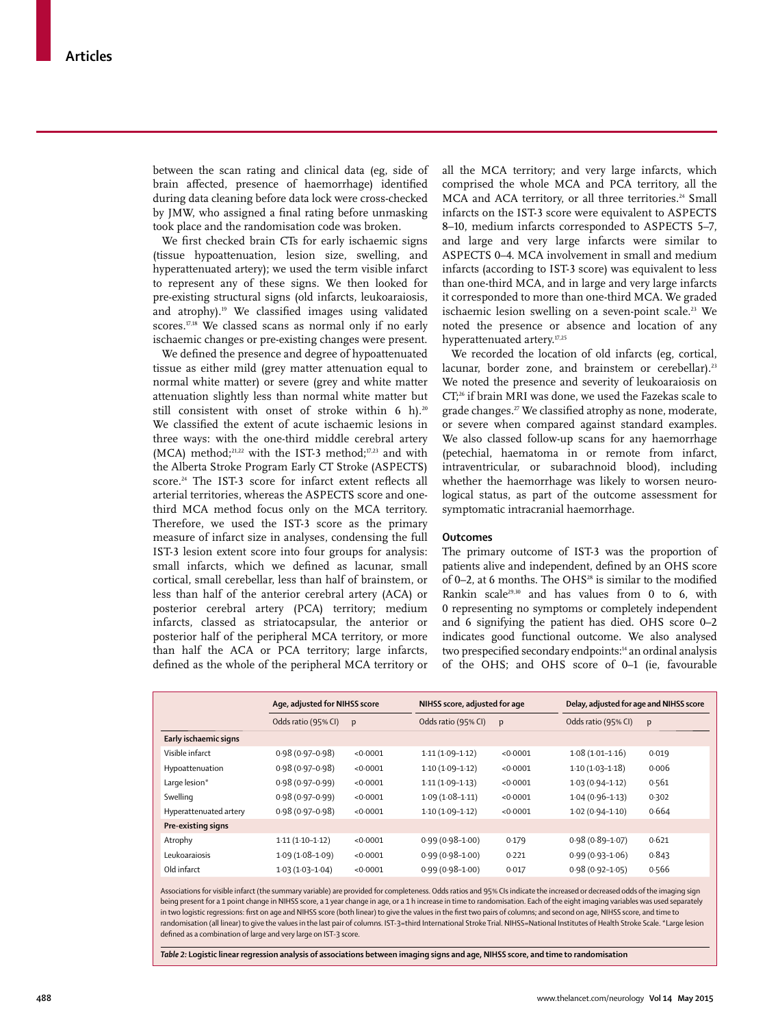between the scan rating and clinical data (eg, side of brain affected, presence of haemorrhage) identified during data cleaning before data lock were cross-checked by JMW, who assigned a final rating before unmasking took place and the randomisation code was broken.

We first checked brain CTs for early ischaemic signs (tissue hypoattenuation, lesion size, swelling, and hyperattenuated artery); we used the term visible infarct to represent any of these signs. We then looked for pre-existing structural signs (old infarcts, leukoaraiosis, and atrophy).<sup>19</sup> We classified images using validated scores.<sup>17,18</sup> We classed scans as normal only if no early ischaemic changes or pre-existing changes were present.

We defined the presence and degree of hypoattenuated tissue as either mild (grey matter attenuation equal to normal white matter) or severe (grey and white matter attenuation slightly less than normal white matter but still consistent with onset of stroke within 6 h).<sup>20</sup> We classified the extent of acute ischaemic lesions in three ways: with the one-third middle cerebral artery (MCA) method;<sup>21,22</sup> with the IST-3 method;<sup>17,23</sup> and with the Alberta Stroke Program Early CT Stroke (ASPECTS) score.<sup>24</sup> The IST-3 score for infarct extent reflects all arterial territories, whereas the ASPECTS score and onethird MCA method focus only on the MCA territory. Therefore, we used the IST-3 score as the primary measure of infarct size in analyses, condensing the full IST-3 lesion extent score into four groups for analysis: small infarcts, which we defined as lacunar, small cortical, small cerebellar, less than half of brainstem, or less than half of the anterior cerebral artery (ACA) or posterior cerebral artery (PCA) territory; medium infarcts, classed as striatocapsular, the anterior or posterior half of the peripheral MCA territory, or more than half the ACA or PCA territory; large infarcts, defined as the whole of the peripheral MCA territory or all the MCA territory; and very large infarcts, which comprised the whole MCA and PCA territory, all the MCA and ACA territory, or all three territories.<sup>24</sup> Small infarcts on the IST-3 score were equivalent to ASPECTS 8–10, medium infarcts corresponded to ASPECTS 5–7, and large and very large infarcts were similar to ASPECTS 0–4. MCA involvement in small and medium infarcts (according to IST-3 score) was equivalent to less than one-third MCA, and in large and very large infarcts it corresponded to more than one-third MCA. We graded ischaemic lesion swelling on a seven-point scale.<sup>23</sup> We noted the presence or absence and location of any hyperattenuated artery.17,25

We recorded the location of old infarcts (eg, cortical, lacunar, border zone, and brainstem or cerebellar).<sup>23</sup> We noted the presence and severity of leukoaraiosis on CT;26 if brain MRI was done, we used the Fazekas scale to grade changes.<sup>27</sup> We classified atrophy as none, moderate, or severe when compared against standard examples. We also classed follow-up scans for any haemorrhage (petechial, haematoma in or remote from infarct, intra ventricular, or subarachnoid blood), including whether the haemorrhage was likely to worsen neurological status, as part of the outcome assessment for symptomatic intracranial haemorrhage.

#### **Outcomes**

The primary outcome of IST-3 was the proportion of patients alive and independent, defined by an OHS score of 0–2, at 6 months. The OHS<sup>28</sup> is similar to the modified Rankin scale29,30 and has values from 0 to 6, with 0 representing no symptoms or completely independent and 6 signifying the patient has died. OHS score 0–2 indicates good functional outcome. We also analysed two prespecified secondary endpoints:<sup>14</sup> an ordinal analysis of the OHS; and OHS score of 0–1 (ie, favourable

|                        | Age, adjusted for NIHSS score |          | NIHSS score, adjusted for age |          | Delay, adjusted for age and NIHSS score |       |  |
|------------------------|-------------------------------|----------|-------------------------------|----------|-----------------------------------------|-------|--|
|                        | Odds ratio (95% CI)           | p        | Odds ratio (95% CI)           | p        | Odds ratio (95% CI)                     | p     |  |
| Early ischaemic signs  |                               |          |                               |          |                                         |       |  |
| Visible infarct        | $0.98(0.97-0.98)$             | <0.0001  | $1.11(1.09-1.12)$             | <0.0001  | $1.08(1.01 - 1.16)$                     | 0.019 |  |
| Hypoattenuation        | $0.98(0.97-0.98)$             | < 0.0001 | $1.10(1.09-1.12)$             | < 0.0001 | $1.10(1.03-1.18)$                       | 0.006 |  |
| Large lesion*          | $0.98(0.97-0.99)$             | < 0.0001 | $1.11(1.09-1.13)$             | < 0.0001 | $1.03(0.94 - 1.12)$                     | 0.561 |  |
| Swelling               | $0.98(0.97-0.99)$             | < 0.0001 | $1.09(1.08-1.11)$             | < 0.0001 | $1.04(0.96 - 1.13)$                     | 0.302 |  |
| Hyperattenuated artery | $0.98(0.97-0.98)$             | < 0.0001 | $1.10(1.09-1.12)$             | < 0.0001 | $1.02(0.94 - 1.10)$                     | 0.664 |  |
| Pre-existing signs     |                               |          |                               |          |                                         |       |  |
| Atrophy                | $1.11(1.10-1.12)$             | < 0.0001 | $0.99(0.98 - 1.00)$           | 0.179    | $0.98(0.89 - 1.07)$                     | 0.621 |  |
| Leukoaraiosis          | $1.09(1.08 - 1.09)$           | < 0.0001 | $0.99(0.98 - 1.00)$           | 0.221    | $0.99(0.93 - 1.06)$                     | 0.843 |  |
| Old infarct            | $1.03(1.03-1.04)$             | < 0.0001 | $0.99(0.98 - 1.00)$           | 0.017    | $0.98(0.92 - 1.05)$                     | 0.566 |  |

Associations for visible infarct (the summary variable) are provided for completeness. Odds ratios and 95% CIs indicate the increased or decreased odds of the imaging sign being present for a 1 point change in NIHSS score, a 1 year change in age, or a 1 h increase in time to randomisation. Each of the eight imaging variables was used separately in two logistic regressions: first on age and NIHSS score (both linear) to give the values in the first two pairs of columns; and second on age, NIHSS score, and time to randomisation (all linear) to give the values in the last pair of columns. IST-3=third International Stroke Trial. NIHSS=National Institutes of Health Stroke Scale. \*Large lesion defined as a combination of large and very large on IST-3 score.

*Table 2:* **Logistic linear regression analysis of associations between imaging signs and age, NIHSS score, and time to randomisation**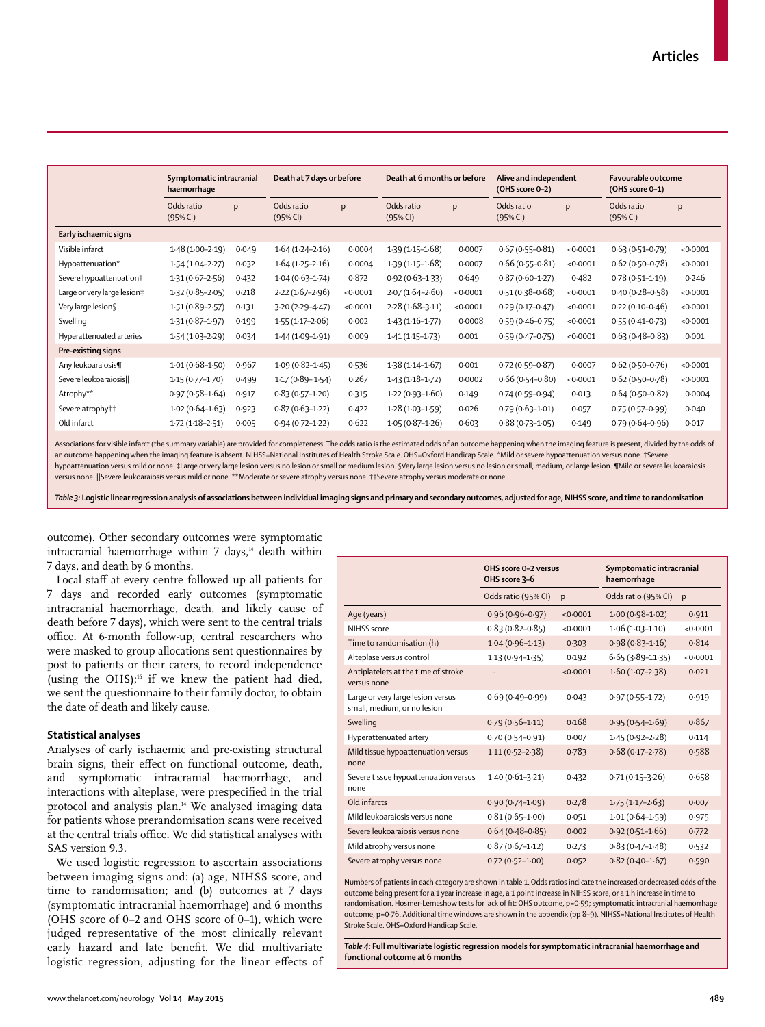|                                     | haemorrhage            | Death at 7 days or before<br>Symptomatic intracranial |                        |          | Death at 6 months or before |          | Alive and independent<br>(OHS score 0-2) |          | <b>Favourable outcome</b><br>$(OHS score O-1)$ |          |
|-------------------------------------|------------------------|-------------------------------------------------------|------------------------|----------|-----------------------------|----------|------------------------------------------|----------|------------------------------------------------|----------|
|                                     | Odds ratio<br>(95% CI) | p                                                     | Odds ratio<br>(95% CI) | p        | Odds ratio<br>(95% CI)      | p        | Odds ratio<br>(95% CI)                   | p        | Odds ratio<br>(95% CI)                         | p        |
| Early ischaemic signs               |                        |                                                       |                        |          |                             |          |                                          |          |                                                |          |
| Visible infarct                     | $1.48(1.00-2.19)$      | 0.049                                                 | $1.64(1.24 - 2.16)$    | 0.0004   | $1.39(1.15 - 1.68)$         | 0.0007   | $0.67(0.55 - 0.81)$                      | < 0.0001 | $0.63(0.51 - 0.79)$                            | < 0.0001 |
| Hypoattenuation*                    | $1.54(1.04 - 2.27)$    | 0.032                                                 | $1.64(1.25 - 2.16)$    | 0.0004   | $1.39(1.15 - 1.68)$         | 0.0007   | $0.66(0.55 - 0.81)$                      | < 0.0001 | $0.62(0.50 - 0.78)$                            | < 0.0001 |
| Severe hypoattenuation <sup>+</sup> | $1.31(0.67 - 2.56)$    | 0.432                                                 | $1.04(0.63 - 1.74)$    | 0.872    | $0.92(0.63 - 1.33)$         | 0.649    | $0.87(0.60 - 1.27)$                      | 0.482    | $0.78(0.51 - 1.19)$                            | 0.246    |
| Large or very large lesion‡         | $1.32(0.85 - 2.05)$    | 0.218                                                 | $2.22(1.67-2.96)$      | < 0.0001 | $2.07(1.64 - 2.60)$         | < 0.0001 | $0.51(0.38 - 0.68)$                      | < 0.0001 | $0.40(0.28 - 0.58)$                            | < 0.0001 |
| Very large lesion§                  | $1.51(0.89 - 2.57)$    | 0.131                                                 | $3.20(2.29 - 4.47)$    | < 0.0001 | $2.28(1.68-3.11)$           | < 0.0001 | $0.29(0.17 - 0.47)$                      | < 0.0001 | $0.22(0.10 - 0.46)$                            | < 0.0001 |
| Swelling                            | $1.31(0.87 - 1.97)$    | 0.199                                                 | $1.55(1.17-2.06)$      | 0.002    | $1.43(1.16-1.77)$           | 0.0008   | $0.59(0.46 - 0.75)$                      | < 0.0001 | $0.55(0.41 - 0.73)$                            | < 0.0001 |
| Hyperattenuated arteries            | $1.54(1.03 - 2.29)$    | 0.034                                                 | $1.44(1.09-1.91)$      | 0.009    | $1.41(1.15-1.73)$           | 0.001    | $0.59(0.47 - 0.75)$                      | < 0.0001 | $0.63(0.48 - 0.83)$                            | 0.001    |
| Pre-existing signs                  |                        |                                                       |                        |          |                             |          |                                          |          |                                                |          |
| Any leukoaraiosis¶                  | $1.01(0.68 - 1.50)$    | 0.967                                                 | $1.09(0.82 - 1.45)$    | 0.536    | $1.38(1.14 - 1.67)$         | 0.001    | $0.72(0.59 - 0.87)$                      | 0.0007   | $0.62(0.50 - 0.76)$                            | < 0.0001 |
| Severe leukoaraiosis                | $1.15(0.77 - 1.70)$    | 0.499                                                 | $1.17(0.89 - 1.54)$    | 0.267    | $1.43(1.18-1.72)$           | 0.0002   | $0.66(0.54 - 0.80)$                      | < 0.0001 | $0.62(0.50-0.78)$                              | < 0.0001 |
| Atrophy**                           | $0.97(0.58 - 1.64)$    | 0.917                                                 | $0.83(0.57 - 1.20)$    | 0.315    | $1.22(0.93 - 1.60)$         | 0.149    | $0.74(0.59 - 0.94)$                      | 0.013    | $0.64(0.50-0.82)$                              | 0.0004   |
| Severe atrophy††                    | $1.02(0.64 - 1.63)$    | 0.923                                                 | $0.87(0.63 - 1.22)$    | 0.422    | $1.28(1.03 - 1.59)$         | 0.026    | $0.79(0.63 - 1.01)$                      | 0.057    | $0.75(0.57-0.99)$                              | 0.040    |
| Old infarct                         | $1.72(1.18-2.51)$      | 0.005                                                 | $0.94(0.72 - 1.22)$    | 0.622    | $1.05(0.87 - 1.26)$         | 0.603    | $0.88(0.73 - 1.05)$                      | 0.149    | $0.79(0.64 - 0.96)$                            | 0.017    |
|                                     |                        |                                                       |                        |          |                             |          |                                          |          |                                                |          |

Associations for visible infarct (the summary variable) are provided for completeness. The odds ratio is the estimated odds of an outcome happening when the imaging feature is present, divided by the odds of an outcome happening when the imaging feature is absent. NIHSS=National Institutes of Health Stroke Scale. OHS=Oxford Handicap Scale. \*Mild or severe hypoattenuation versus none. †Severe hypoattenuation versus mild or none. ‡Large or very large lesion versus no lesion or small or medium lesion. §Very large lesion versus no lesion or small, medium, or large lesion. ¶Mild or severe leukoaraiosis versus none. ||Severe leukoaraiosis versus mild or none. \*\*Moderate or severe atrophy versus none. ††Severe atrophy versus moderate or none.

*Table 3:* **Logistic linear regression analysis of associations between individual imaging signs and primary and secondary outcomes, adjusted for age, NIHSS score, and time to randomisation**

outcome). Other secondary outcomes were symptomatic intracranial haemorrhage within  $7$  days, $44$  death within 7 days, and death by 6 months.

Local staff at every centre followed up all patients for 7 days and recorded early outcomes (symptomatic intracranial haemorrhage, death, and likely cause of death before 7 days), which were sent to the central trials office. At 6-month follow-up, central researchers who were masked to group allocations sent questionnaires by post to patients or their carers, to record independence (using the OHS);<sup>16</sup> if we knew the patient had died, we sent the questionnaire to their family doctor, to obtain the date of death and likely cause.

#### **Statistical analyses**

Analyses of early ischaemic and pre-existing structural brain signs, their effect on functional outcome, death, and symptomatic intracranial haemorrhage, and interactions with alteplase, were prespecified in the trial protocol and analysis plan.<sup>14</sup> We analysed imaging data for patients whose prerandomisation scans were received at the central trials office. We did statistical analyses with SAS version 9.3.

We used logistic regression to ascertain associations between imaging signs and: (a) age, NIHSS score, and time to randomisation; and (b) outcomes at 7 days (symptomatic intracranial haemorrhage) and 6 months (OHS score of 0–2 and OHS score of 0–1), which were judged representative of the most clinically relevant early hazard and late benefit. We did multivariate logistic regression, adjusting for the linear effects of

|                                                                  | OHS score 0-2 versus<br>OHS score 3-6 |          | Symptomatic intracranial<br>haemorrhage |          |
|------------------------------------------------------------------|---------------------------------------|----------|-----------------------------------------|----------|
|                                                                  | Odds ratio (95% CI)                   | p        | Odds ratio (95% CI)                     | p        |
| Age (years)                                                      | $0.96(0.96 - 0.97)$                   | < 0.0001 | $1.00(0.98 - 1.02)$                     | 0.911    |
| NIHSS score                                                      | $0.83(0.82 - 0.85)$                   | < 0.0001 | $1.06(1.03-1.10)$                       | < 0.0001 |
| Time to randomisation (h)                                        | $1.04(0.96 - 1.13)$                   | 0.303    | $0.98(0.83 - 1.16)$                     | 0.814    |
| Alteplase versus control                                         | $1.13(0.94 - 1.35)$                   | 0.192    | $6.65(3.89 - 11.35)$                    | < 0.0001 |
| Antiplatelets at the time of stroke<br>versus none               |                                       | < 0.0001 | $1.60(1.07-2.38)$                       | 0.021    |
| Large or very large lesion versus<br>small, medium, or no lesion | $0.69(0.49 - 0.99)$                   | 0.043    | $0.97(0.55 - 1.72)$                     | 0.919    |
| Swelling                                                         | $0.79(0.56 - 1.11)$                   | 0.168    | $0.95(0.54 - 1.69)$                     | 0.867    |
| Hyperattenuated artery                                           | $0.70(0.54 - 0.91)$                   | 0.007    | $1.45(0.92 - 2.28)$                     | 0.114    |
| Mild tissue hypoattenuation versus<br>none                       | $1.11(0.52 - 2.38)$                   | 0.783    | $0.68(0.17 - 2.78)$                     | 0.588    |
| Severe tissue hypoattenuation versus<br>none                     | $1.40(0.61-3.21)$                     | 0.432    | $0.71(0.15-3.26)$                       | 0.658    |
| Old infarcts                                                     | $0.90(0.74 - 1.09)$                   | 0.278    | $1.75(1.17-2.63)$                       | 0.007    |
| Mild leukoaraiosis versus none                                   | $0.81(0.65 - 1.00)$                   | 0.051    | $1.01(0.64 - 1.59)$                     | 0.975    |
| Severe leukoarajosis versus none                                 | $0.64(0.48 - 0.85)$                   | 0.002    | $0.92(0.51 - 1.66)$                     | 0.772    |
| Mild atrophy versus none                                         | $0.87(0.67 - 1.12)$                   | 0.273    | $0.83(0.47 - 1.48)$                     | 0.532    |
| Severe atrophy versus none                                       | $0.72(0.52 - 1.00)$                   | 0.052    | $0.82(0.40-1.67)$                       | 0.590    |

Numbers of patients in each category are shown in table 1. Odds ratios indicate the increased or decreased odds of the outcome being present for a 1 year increase in age, a 1 point increase in NIHSS score, or a 1 h increase in time to randomisation. Hosmer-Lemeshow tests for lack of fit: OHS outcome, p=0·59; symptomatic intracranial haemorrhage outcome, p=0·76. Additional time windows are shown in the appendix (pp 8–9). NIHSS=National Institutes of Health Stroke Scale. OHS=Oxford Handicap Scale.

*Table 4:* **Full multivariate logistic regression models for symptomatic intracranial haemorrhage and functional outcome at 6 months**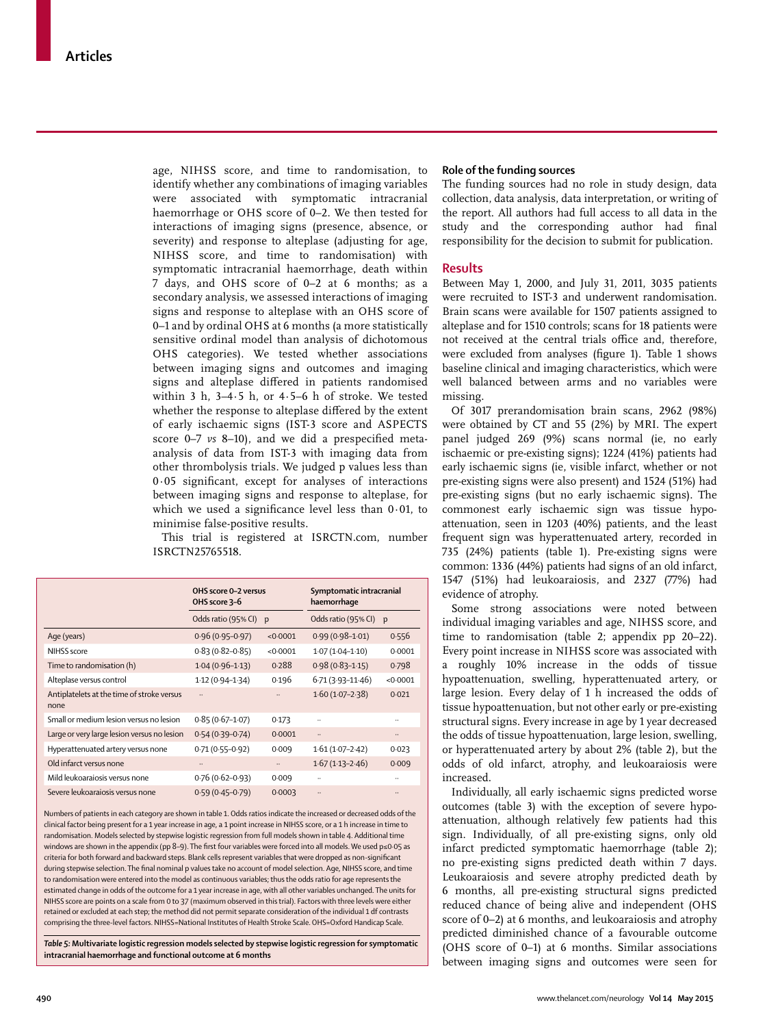age, NIHSS score, and time to randomisation, to identify whether any combinations of imaging variables were associated with symptomatic intracranial haemorrhage or OHS score of 0–2. We then tested for interactions of imaging signs (presence, absence, or severity) and response to alteplase (adjusting for age, NIHSS score, and time to randomisation) with symptomatic intracranial haemorrhage, death within 7 days, and OHS score of 0–2 at 6 months; as a secondary analysis, we assessed interactions of imaging signs and response to alteplase with an OHS score of 0–1 and by ordinal OHS at 6 months (a more statistically sensitive ordinal model than analysis of dichotomous OHS categories). We tested whether associations between imaging signs and outcomes and imaging signs and alteplase differed in patients randomised within 3 h, 3–4∙5 h, or 4∙5–6 h of stroke. We tested whether the response to alteplase differed by the extent of early ischaemic signs (IST-3 score and ASPECTS score 0-7 *vs* 8-10), and we did a prespecified metaanalysis of data from IST-3 with imaging data from other thrombolysis trials. We judged p values less than  $0.05$  significant, except for analyses of interactions between imaging signs and response to alteplase, for which we used a significance level less than  $0.01$ , to minimise false-positive results.

This trial is registered at ISRCTN.com, number ISRCTN25765518.

|                                                    | OHS score 0-2 versus<br>OHS score 3-6 |              | Symptomatic intracranial<br>haemorrhage |           |
|----------------------------------------------------|---------------------------------------|--------------|-----------------------------------------|-----------|
|                                                    | Odds ratio (95% CI)                   | $\mathbf{p}$ | Odds ratio (95% CI)                     | p         |
| Age (years)                                        | $0.96(0.95 - 0.97)$                   | < 0.0001     | $0.99(0.98 - 1.01)$                     | 0.556     |
| NIHSS score                                        | $0.83(0.82 - 0.85)$                   | < 0.0001     | $1.07(1.04 - 1.10)$                     | 0.0001    |
| Time to randomisation (h)                          | $1.04(0.96 - 1.13)$                   | 0.288        | $0.98(0.83 - 1.15)$                     | 0.798     |
| Alteplase versus control                           | $1.12(0.94 - 1.34)$                   | 0.196        | $6-71(3-93-11-46)$                      | < 0.0001  |
| Antiplatelets at the time of stroke versus<br>none |                                       |              | $1.60(1.07-2.38)$                       | 0.021     |
| Small or medium lesion versus no lesion            | $0.85(0.67 - 1.07)$                   | 0.173        | $\ddotsc$                               | $\ddotsc$ |
| Large or very large lesion versus no lesion        | $0.54(0.39 - 0.74)$                   | 0.0001       |                                         |           |
| Hyperattenuated artery versus none                 | $0.71(0.55 - 0.92)$                   | 0.009        | $1.61(1.07 - 2.42)$                     | 0.023     |
| Old infarct versus none                            |                                       |              | $1.67(1.13 - 2.46)$                     | 0.009     |
| Mild leukoaraiosis versus none                     | $0.76(0.62 - 0.93)$                   | 0.009        |                                         |           |
| Severe leukoarajosis versus none                   | $0.59(0.45 - 0.79)$                   | 0.0003       |                                         |           |

Numbers of patients in each category are shown in table 1. Odds ratios indicate the increased or decreased odds of the clinical factor being present for a 1 year increase in age, a 1 point increase in NIHSS score, or a 1 h increase in time to randomisation. Models selected by stepwise logistic regression from full models shown in table 4. Additional time windows are shown in the appendix (pp 8–9). The first four variables were forced into all models. We used p≤0·05 as criteria for both forward and backward steps. Blank cells represent variables that were dropped as non-significant during stepwise selection. The final nominal p values take no account of model selection. Age, NIHSS score, and time to randomisation were entered into the model as continuous variables; thus the odds ratio for age represents the estimated change in odds of the outcome for a 1 year increase in age, with all other variables unchanged. The units for NIHSS score are points on a scale from 0 to 37 (maximum observed in this trial). Factors with three levels were either retained or excluded at each step; the method did not permit separate consideration of the individual 1 df contrasts comprising the three-level factors. NIHSS=National Institutes of Health Stroke Scale. OHS=Oxford Handicap Scale.

*Table 5:* **Multivariate logistic regression models selected by stepwise logistic regression for symptomatic intracranial haemorrhage and functional outcome at 6 months**

#### **Role of the funding sources**

The funding sources had no role in study design, data collection, data analysis, data interpretation, or writing of the report. All authors had full access to all data in the study and the corresponding author had final responsibility for the decision to submit for publication.

#### **Results**

Between May 1, 2000, and July 31, 2011, 3035 patients were recruited to IST-3 and underwent randomisation. Brain scans were available for 1507 patients assigned to alteplase and for 1510 controls; scans for 18 patients were not received at the central trials office and, therefore, were excluded from analyses (figure 1). Table 1 shows baseline clinical and imaging characteristics, which were well balanced between arms and no variables were missing.

Of 3017 prerandomisation brain scans, 2962 (98%) were obtained by CT and 55 (2%) by MRI. The expert panel judged 269 (9%) scans normal (ie, no early ischaemic or pre-existing signs); 1224 (41%) patients had early ischaemic signs (ie, visible infarct, whether or not pre-existing signs were also present) and 1524 (51%) had pre-existing signs (but no early ischaemic signs). The commonest early ischaemic sign was tissue hypoattenuation, seen in 1203 (40%) patients, and the least frequent sign was hyperattenuated artery, recorded in 735 (24%) patients (table 1). Pre-existing signs were common: 1336 (44%) patients had signs of an old infarct, 1547 (51%) had leukoaraiosis, and 2327 (77%) had evidence of atrophy.

Some strong associations were noted between individual imaging variables and age, NIHSS score, and time to randomisation (table 2; appendix pp 20–22). Every point increase in NIHSS score was associated with a roughly 10% increase in the odds of tissue hypoattenuation, swelling, hyperattenuated artery, or large lesion. Every delay of 1 h increased the odds of tissue hypoattenuation, but not other early or pre-existing structural signs. Every increase in age by 1 year decreased the odds of tissue hypoattenuation, large lesion, swelling, or hyperattenuated artery by about 2% (table 2), but the odds of old infarct, atrophy, and leukoaraiosis were increased.

Individually, all early ischaemic signs predicted worse outcomes (table 3) with the exception of severe hypoattenuation, although relatively few patients had this sign. Individually, of all pre-existing signs, only old infarct predicted symptomatic haemorrhage (table 2); no pre-existing signs predicted death within 7 days. Leukoaraiosis and severe atrophy predicted death by 6 months, all pre-existing structural signs predicted reduced chance of being alive and independent (OHS score of 0–2) at 6 months, and leukoaraiosis and atrophy predicted diminished chance of a favourable outcome (OHS score of 0–1) at 6 months. Similar associations between imaging signs and outcomes were seen for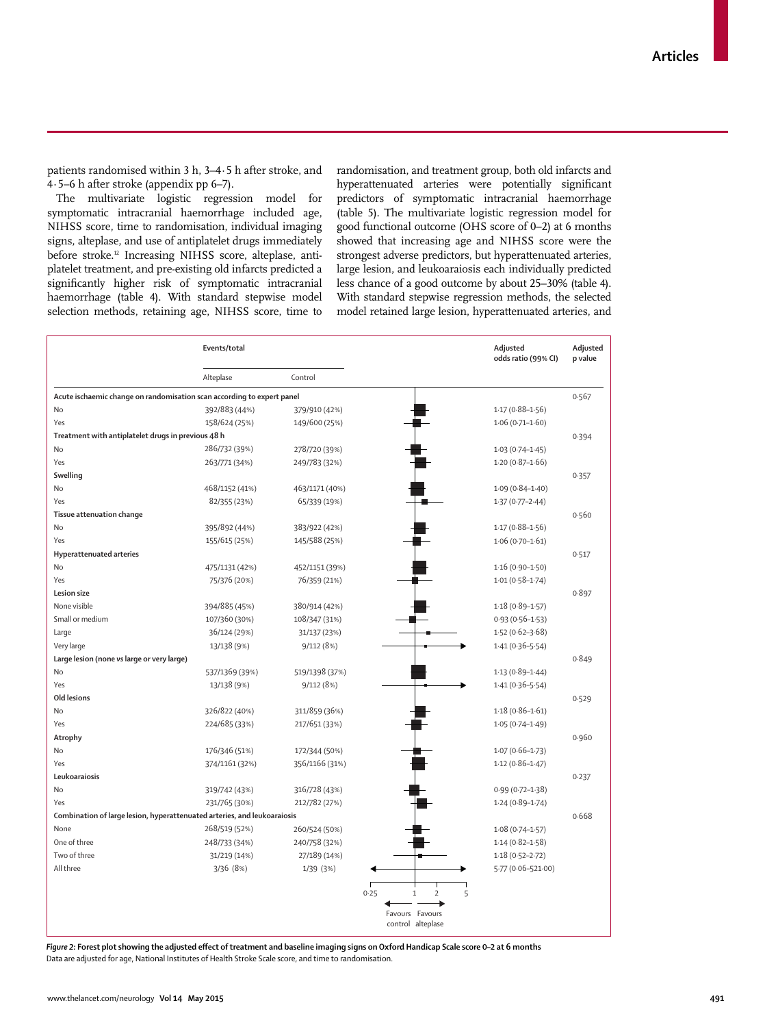patients randomised within 3 h, 3–4·5 h after stroke, and 4·5–6 h after stroke (appendix pp 6–7).

The multivariate logistic regression model for symptomatic intracranial haemorrhage included age, NIHSS score, time to randomisation, individual imaging signs, alteplase, and use of antiplatelet drugs immediately before stroke.<sup>12</sup> Increasing NIHSS score, alteplase, antiplatelet treatment, and pre-existing old infarcts predicted a significantly higher risk of symptomatic intracranial haemorrhage (table 4). With standard stepwise model selection methods, retaining age, NIHSS score, time to randomisation, and treatment group, both old infarcts and hyperattenuated arteries were potentially significant predictors of symptomatic intracranial haemorrhage (table 5). The multivariate logistic regression model for good functional outcome (OHS score of 0–2) at 6 months showed that increasing age and NIHSS score were the strongest adverse predictors, but hyperattenuated arteries, large lesion, and leukoaraiosis each individually predicted less chance of a good outcome by about 25–30% (table 4). With standard stepwise regression methods, the selected model retained large lesion, hyperattenuated arteries, and

|                                                                          | Events/total   |                |                                 | Adjusted<br>odds ratio (99% CI) | Adjusted<br>p value |
|--------------------------------------------------------------------------|----------------|----------------|---------------------------------|---------------------------------|---------------------|
|                                                                          | Alteplase      | Control        |                                 |                                 |                     |
| Acute ischaemic change on randomisation scan according to expert panel   |                |                |                                 |                                 | 0.567               |
| No                                                                       | 392/883 (44%)  | 379/910 (42%)  |                                 | $1.17(0.88 - 1.56)$             |                     |
| Yes                                                                      | 158/624 (25%)  | 149/600 (25%)  |                                 | $1.06(0.71 - 1.60)$             |                     |
| Treatment with antiplatelet drugs in previous 48 h                       |                |                |                                 |                                 | 0.394               |
| No                                                                       | 286/732 (39%)  | 278/720 (39%)  |                                 | $1.03(0.74 - 1.45)$             |                     |
| Yes                                                                      | 263/771 (34%)  | 249/783 (32%)  |                                 | $1.20(0.87 - 1.66)$             |                     |
| Swelling                                                                 |                |                |                                 |                                 | 0.357               |
| No                                                                       | 468/1152 (41%) | 463/1171 (40%) |                                 | $1.09(0.84 - 1.40)$             |                     |
| Yes                                                                      | 82/355 (23%)   | 65/339 (19%)   |                                 | $1.37(0.77 - 2.44)$             |                     |
| Tissue attenuation change                                                |                |                |                                 |                                 | 0.560               |
| No                                                                       | 395/892 (44%)  | 383/922 (42%)  |                                 | $1.17(0.88 - 1.56)$             |                     |
| Yes                                                                      | 155/615 (25%)  | 145/588 (25%)  |                                 | $1.06(0.70-1.61)$               |                     |
| Hyperattenuated arteries                                                 |                |                |                                 |                                 | 0.517               |
| No                                                                       | 475/1131 (42%) | 452/1151 (39%) |                                 | $1.16(0.90 - 1.50)$             |                     |
| Yes                                                                      | 75/376 (20%)   | 76/359 (21%)   |                                 | $1.01(0.58 - 1.74)$             |                     |
| Lesion size                                                              |                |                |                                 |                                 | 0.897               |
| None visible                                                             | 394/885 (45%)  | 380/914 (42%)  |                                 | $1.18(0.89 - 1.57)$             |                     |
| Small or medium                                                          | 107/360 (30%)  | 108/347 (31%)  |                                 | $0.93(0.56 - 1.53)$             |                     |
| Large                                                                    | 36/124 (29%)   | 31/137 (23%)   |                                 | $1.52(0.62 - 3.68)$             |                     |
| Very large                                                               | 13/138 (9%)    | 9/112(8%)      |                                 | $1.41(0.36 - 5.54)$             |                     |
| Large lesion (none vs large or very large)                               |                |                |                                 |                                 | 0.849               |
| No                                                                       | 537/1369 (39%) | 519/1398 (37%) |                                 | $1.13(0.89 - 1.44)$             |                     |
| Yes                                                                      | 13/138 (9%)    | 9/112(8%)      |                                 | $1.41(0.36 - 5.54)$             |                     |
| Old lesions                                                              |                |                |                                 |                                 | 0.529               |
| No                                                                       | 326/822 (40%)  | 311/859 (36%)  |                                 | $1.18(0.86 - 1.61)$             |                     |
| Yes                                                                      | 224/685 (33%)  | 217/651 (33%)  |                                 |                                 |                     |
|                                                                          |                |                |                                 | $1.05(0.74 - 1.49)$             |                     |
| Atrophy                                                                  |                |                |                                 |                                 | 0.960               |
| No                                                                       | 176/346 (51%)  | 172/344 (50%)  |                                 | $1.07(0.66 - 1.73)$             |                     |
| Yes                                                                      | 374/1161 (32%) | 356/1166 (31%) |                                 | $1.12(0.86 - 1.47)$             |                     |
| Leukoaraiosis                                                            |                |                |                                 |                                 | 0.237               |
| No                                                                       | 319/742 (43%)  | 316/728 (43%)  |                                 | $0.99(0.72 - 1.38)$             |                     |
| Yes                                                                      | 231/765 (30%)  | 212/782 (27%)  |                                 | $1.24(0.89 - 1.74)$             |                     |
| Combination of large lesion, hyperattenuated arteries, and leukoaraiosis |                |                |                                 |                                 | 0.668               |
| None                                                                     | 268/519 (52%)  | 260/524 (50%)  |                                 | $1.08(0.74 - 1.57)$             |                     |
| One of three                                                             | 248/733 (34%)  | 240/758 (32%)  |                                 | $1.14(0.82 - 1.58)$             |                     |
| Two of three                                                             | 31/219 (14%)   | 27/189 (14%)   |                                 | $1.18(0.52 - 2.72)$             |                     |
| All three                                                                | 3/36 (8%)      | 1/39 (3%)      |                                 | 5.77 (0.06-521.00)              |                     |
|                                                                          |                |                | 0.25<br>$\overline{2}$<br>$1\,$ | 5                               |                     |
|                                                                          |                |                | Favours Favours                 |                                 |                     |
|                                                                          |                |                | control alteplase               |                                 |                     |

Figure 2: Forest plot showing the adjusted effect of treatment and baseline imaging signs on Oxford Handicap Scale score 0-2 at 6 months Data are adjusted for age, National Institutes of Health Stroke Scale score, and time to randomisation.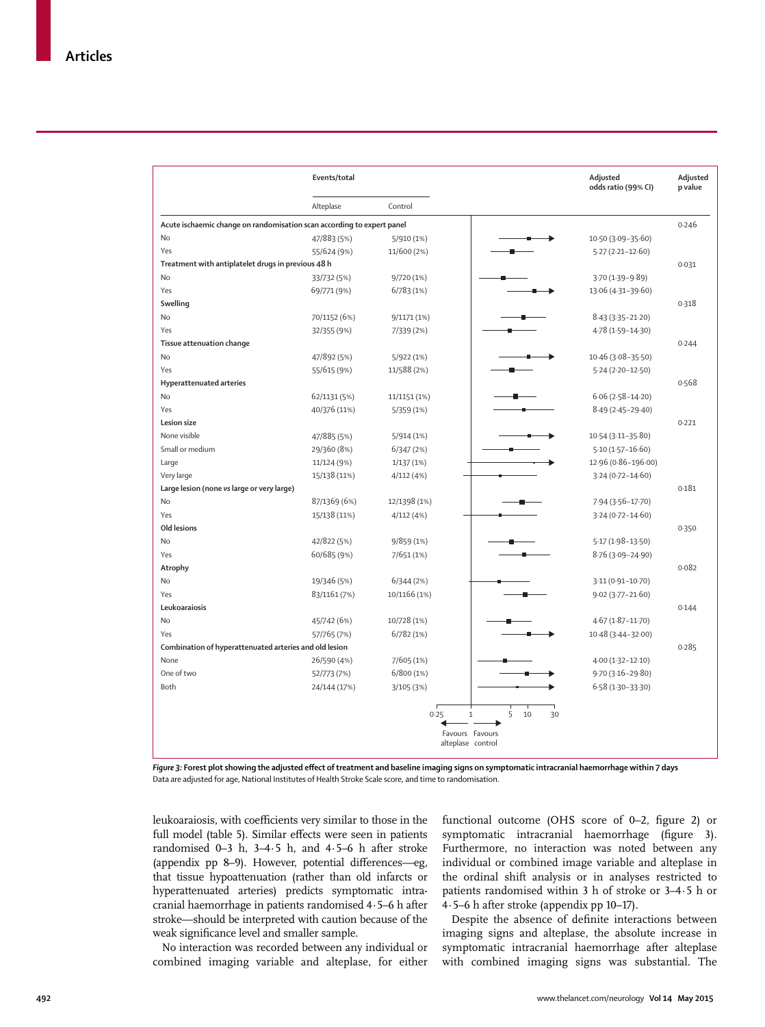|                                                                        | Events/total |              |                                                      |   |          | Adjusted<br>odds ratio (99% CI) | Adjusted<br>p value |
|------------------------------------------------------------------------|--------------|--------------|------------------------------------------------------|---|----------|---------------------------------|---------------------|
|                                                                        | Alteplase    | Control      |                                                      |   |          |                                 |                     |
| Acute ischaemic change on randomisation scan according to expert panel |              |              |                                                      |   |          |                                 | 0.246               |
| No                                                                     | 47/883 (5%)  | 5/910 (1%)   |                                                      |   |          | 10.50 (3.09-35.60)              |                     |
| Yes                                                                    | 55/624 (9%)  | 11/600 (2%)  |                                                      |   |          | $5.27(2.21 - 12.60)$            |                     |
| Treatment with antiplatelet drugs in previous 48 h                     |              |              |                                                      |   |          |                                 | 0.031               |
| No                                                                     | 33/732 (5%)  | 9/720 (1%)   |                                                      |   |          | $3.70(1.39 - 9.89)$             |                     |
| Yes                                                                    | 69/771 (9%)  | 6/783 (1%)   |                                                      |   |          | 13.06 (4.31-39.60)              |                     |
| Swelling                                                               |              |              |                                                      |   |          |                                 | 0.318               |
| No                                                                     | 70/1152 (6%) | 9/1171 (1%)  |                                                      |   |          | $8.43(3.35 - 21.20)$            |                     |
| Yes                                                                    | 32/355 (9%)  | 7/339 (2%)   |                                                      |   |          | 4.78 (1.59-14.30)               |                     |
| Tissue attenuation change                                              |              |              |                                                      |   |          |                                 | 0.244               |
| <b>No</b>                                                              | 47/892 (5%)  | 5/922 (1%)   |                                                      |   |          | 10.46 (3.08-35.50)              |                     |
| Yes                                                                    | 55/615 (9%)  | 11/588 (2%)  |                                                      |   |          | 5.24 (2.20-12.50)               |                     |
| Hyperattenuated arteries                                               |              |              |                                                      |   |          |                                 | 0.568               |
| No                                                                     | 62/1131 (5%) | 11/1151 (1%) |                                                      |   |          | $6.06(2.58 - 14.20)$            |                     |
| Yes                                                                    | 40/376 (11%) | 5/359 (1%)   |                                                      |   |          | $8.49(2.45 - 29.40)$            |                     |
| Lesion size                                                            |              |              |                                                      |   |          |                                 | 0.221               |
| None visible                                                           | 47/885 (5%)  | 5/914(1%)    |                                                      |   |          | 10.54 (3.11-35.80)              |                     |
| Small or medium                                                        | 29/360 (8%)  | 6/347(2%)    |                                                      |   |          | $5.10(1.57 - 16.60)$            |                     |
| Large                                                                  | 11/124 (9%)  | 1/137(1%)    |                                                      |   |          | 12.96 (0.86-196.00)             |                     |
| Very large                                                             | 15/138 (11%) | 4/112 (4%)   |                                                      |   |          | 3.24 (0.72-14.60)               |                     |
| Large lesion (none vs large or very large)                             |              |              |                                                      |   |          |                                 | 0.181               |
| No                                                                     | 87/1369 (6%) | 12/1398 (1%) |                                                      |   |          | 7.94 (3.56-17.70)               |                     |
| Yes                                                                    | 15/138 (11%) | 4/112(4%)    |                                                      |   |          | $3.24(0.72 - 14.60)$            |                     |
| Old lesions                                                            |              |              |                                                      |   |          |                                 | 0.350               |
| <b>No</b>                                                              | 42/822 (5%)  | 9/859(1%)    |                                                      |   |          | $5.17(1.98 - 13.50)$            |                     |
| Yes                                                                    | 60/685 (9%)  | 7/651 (1%)   |                                                      |   |          | $8.76(3.09 - 24.90)$            |                     |
| Atrophy                                                                |              |              |                                                      |   |          |                                 | 0.082               |
| No                                                                     | 19/346 (5%)  | 6/344(2%)    |                                                      |   |          | 3.11 (0.91-10.70)               |                     |
| Yes                                                                    | 83/1161 (7%) | 10/1166 (1%) |                                                      |   |          | $9.02(3.77 - 21.60)$            |                     |
| Leukoaraiosis                                                          |              |              |                                                      |   |          |                                 | 0.144               |
| No                                                                     | 45/742 (6%)  | 10/728 (1%)  |                                                      |   |          | $4.67(1.87 - 11.70)$            |                     |
| Yes                                                                    | 57/765 (7%)  | 6/782(1%)    |                                                      |   |          | 10.48 (3.44-32.00)              |                     |
| Combination of hyperattenuated arteries and old lesion                 |              |              |                                                      |   |          |                                 | 0.285               |
| None                                                                   | 26/590 (4%)  | 7/605 (1%)   |                                                      |   |          | 4.00 (1.32-12.10)               |                     |
| One of two                                                             | 52/773 (7%)  | 6/800(1%)    |                                                      |   |          | 9.70 (3.16-29.80)               |                     |
| Both                                                                   | 24/144 (17%) | 3/105 (3%)   |                                                      |   |          | $6.58(1.30-33.30)$              |                     |
|                                                                        |              | 0.25         | $\mathbf{1}$<br>Favours Favours<br>alteplase control | 5 | 10<br>30 |                                 |                     |

Figure 3: Forest plot showing the adjusted effect of treatment and baseline imaging signs on symptomatic intracranial haemorrhage within 7 days Data are adjusted for age, National Institutes of Health Stroke Scale score, and time to randomisation.

leukoaraiosis, with coefficients very similar to those in the full model (table 5). Similar effects were seen in patients randomised 0–3 h, 3–4∙5 h, and 4∙5–6 h after stroke (appendix pp 8–9). However, potential differences—eg, that tissue hypoattenuation (rather than old infarcts or hyperattenuated arteries) predicts symptomatic intracranial haemorrhage in patients randomised 4∙5–6 h after stroke—should be interpreted with caution because of the weak significance level and smaller sample.

No interaction was recorded between any individual or combined imaging variable and alteplase, for either functional outcome (OHS score of 0-2, figure 2) or symptomatic intracranial haemorrhage (figure 3). Furthermore, no interaction was noted between any individual or combined image variable and alteplase in the ordinal shift analysis or in analyses restricted to patients randomised within 3 h of stroke or 3–4∙5 h or 4∙5–6 h after stroke (appendix pp 10–17).

Despite the absence of definite interactions between imaging signs and alteplase, the absolute increase in symptomatic intracranial haemorrhage after alteplase with combined imaging signs was substantial. The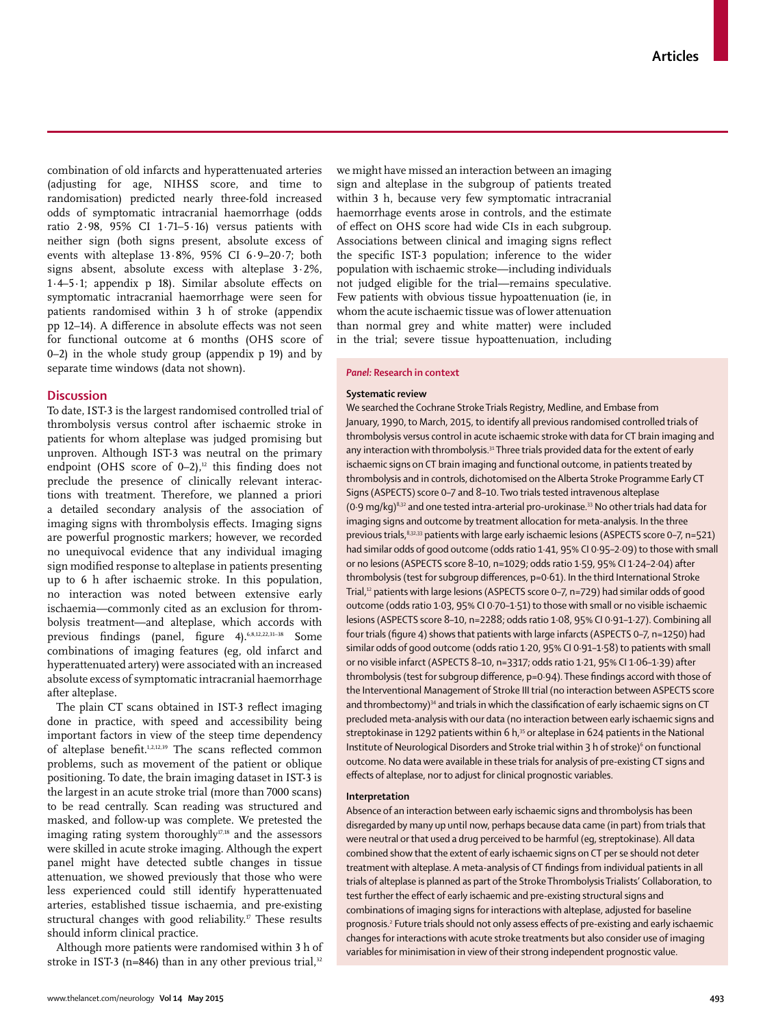combination of old infarcts and hyperattenuated arteries (adjusting for age, NIHSS score, and time to randomisation) predicted nearly three-fold increased odds of symptomatic intracranial haemorrhage (odds ratio 2∙98, 95% CI 1∙71–5∙16) versus patients with neither sign (both signs present, absolute excess of events with alteplase 13∙8%, 95% CI 6∙9–20∙7; both signs absent, absolute excess with alteplase 3∙2%, 1⋅4–5⋅1; appendix p 18). Similar absolute effects on symptomatic intracranial haemorrhage were seen for patients randomised within 3 h of stroke (appendix pp 12–14). A difference in absolute effects was not seen for functional outcome at 6 months (OHS score of 0–2) in the whole study group (appendix  $p$  19) and by separate time windows (data not shown).

#### **Discussion**

To date, IST-3 is the largest randomised controlled trial of thrombolysis versus control after ischaemic stroke in patients for whom alteplase was judged promising but unproven. Although IST-3 was neutral on the primary endpoint (OHS score of  $0-2$ ),<sup>12</sup> this finding does not preclude the presence of clinically relevant interactions with treatment. Therefore, we planned a priori a detailed secondary analysis of the association of imaging signs with thrombolysis effects. Imaging signs are powerful prognostic markers; however, we recorded no unequivocal evidence that any individual imaging sign modified response to alteplase in patients presenting up to 6 h after ischaemic stroke. In this population, no interaction was noted between extensive early ischaemia—commonly cited as an exclusion for thrombolysis treatment—and alteplase, which accords with previous findings (panel, figure 4). 6,8,12,22,31-38 Some combinations of imaging features (eg, old infarct and hyperattenuated artery) were associated with an increased absolute excess of symptomatic intracranial haemorrhage after alteplase.

The plain CT scans obtained in IST-3 reflect imaging done in practice, with speed and accessibility being important factors in view of the steep time dependency of alteplase benefit.<sup>1,2,12,39</sup> The scans reflected common problems, such as movement of the patient or oblique positioning. To date, the brain imaging dataset in IST-3 is the largest in an acute stroke trial (more than 7000 scans) to be read centrally. Scan reading was structured and masked, and follow-up was complete. We pretested the imaging rating system thoroughly<sup>17,18</sup> and the assessors were skilled in acute stroke imaging. Although the expert panel might have detected subtle changes in tissue attenuation, we showed previously that those who were less experienced could still identify hyperattenuated arteries, established tissue ischaemia, and pre-existing structural changes with good reliability.<sup>17</sup> These results should inform clinical practice.

Although more patients were randomised within 3 h of stroke in IST-3 (n=846) than in any other previous trial, $32$  we might have missed an interaction between an imaging sign and alteplase in the subgroup of patients treated within 3 h, because very few symptomatic intracranial haemorrhage events arose in controls, and the estimate of effect on OHS score had wide CIs in each subgroup. Associations between clinical and imaging signs reflect the specific IST-3 population; inference to the wider population with ischaemic stroke—including individuals not judged eligible for the trial—remains speculative. Few patients with obvious tissue hypoattenuation (ie, in whom the acute ischaemic tissue was of lower attenuation than normal grey and white matter) were included in the trial; severe tissue hypoattenuation, including

#### *Panel:* **Research in context**

#### **Systematic review**

We searched the Cochrane Stroke Trials Registry, Medline, and Embase from January, 1990, to March, 2015, to identify all previous randomised controlled trials of thrombolysis versus control in acute ischaemic stroke with data for CT brain imaging and any interaction with thrombolysis.<sup>31</sup> Three trials provided data for the extent of early ischaemic signs on CT brain imaging and functional outcome, in patients treated by thrombolysis and in controls, dichotomised on the Alberta Stroke Programme Early CT Signs (ASPECTS) score 0–7 and 8–10. Two trials tested intravenous alteplase (0.9 mg/kg)<sup>8,32</sup> and one tested intra-arterial pro-urokinase.<sup>33</sup> No other trials had data for imaging signs and outcome by treatment allocation for meta-analysis. In the three previous trials, 8,32,33 patients with large early ischaemic lesions (ASPECTS score 0-7, n=521) had similar odds of good outcome (odds ratio 1·41, 95% CI 0·95–2·09) to those with small or no lesions (ASPECTS score 8–10, n=1029; odds ratio 1·59, 95% CI 1·24–2·04) after thrombolysis (test for subgroup differences, p=0.61). In the third International Stroke Trial,<sup>12</sup> patients with large lesions (ASPECTS score 0-7, n=729) had similar odds of good outcome (odds ratio 1·03, 95% CI 0·70–1·51) to those with small or no visible ischaemic lesions (ASPECTS score 8–10, n=2288; odds ratio 1·08, 95% CI 0·91–1·27). Combining all four trials (figure 4) shows that patients with large infarcts (ASPECTS 0-7, n=1250) had similar odds of good outcome (odds ratio 1·20, 95% CI 0·91–1·58) to patients with small or no visible infarct (ASPECTS 8–10, n=3317; odds ratio 1·21, 95% CI 1·06–1·39) after thrombolysis (test for subgroup difference, p=0.94). These findings accord with those of the Interventional Management of Stroke III trial (no interaction between ASPECTS score and thrombectomy) $34$  and trials in which the classification of early ischaemic signs on CT precluded meta-analysis with our data (no interaction between early ischaemic signs and streptokinase in 1292 patients within 6 h.<sup>35</sup> or alteplase in 624 patients in the National Institute of Neurological Disorders and Stroke trial within 3 h of stroke)<sup>6</sup> on functional outcome. No data were available in these trials for analysis of pre-existing CT signs and effects of alteplase, nor to adjust for clinical prognostic variables.

#### **Interpretation**

Absence of an interaction between early ischaemic signs and thrombolysis has been disregarded by many up until now, perhaps because data came (in part) from trials that were neutral or that used a drug perceived to be harmful (eg, streptokinase). All data combined show that the extent of early ischaemic signs on CT per se should not deter treatment with alteplase. A meta-analysis of CT findings from individual patients in all trials of alteplase is planned as part of the Stroke Thrombolysis Trialists' Collaboration, to test further the effect of early ischaemic and pre-existing structural signs and combinations of imaging signs for interactions with alteplase, adjusted for baseline prognosis.<sup>2</sup> Future trials should not only assess effects of pre-existing and early ischaemic changes for interactions with acute stroke treatments but also consider use of imaging variables for minimisation in view of their strong independent prognostic value.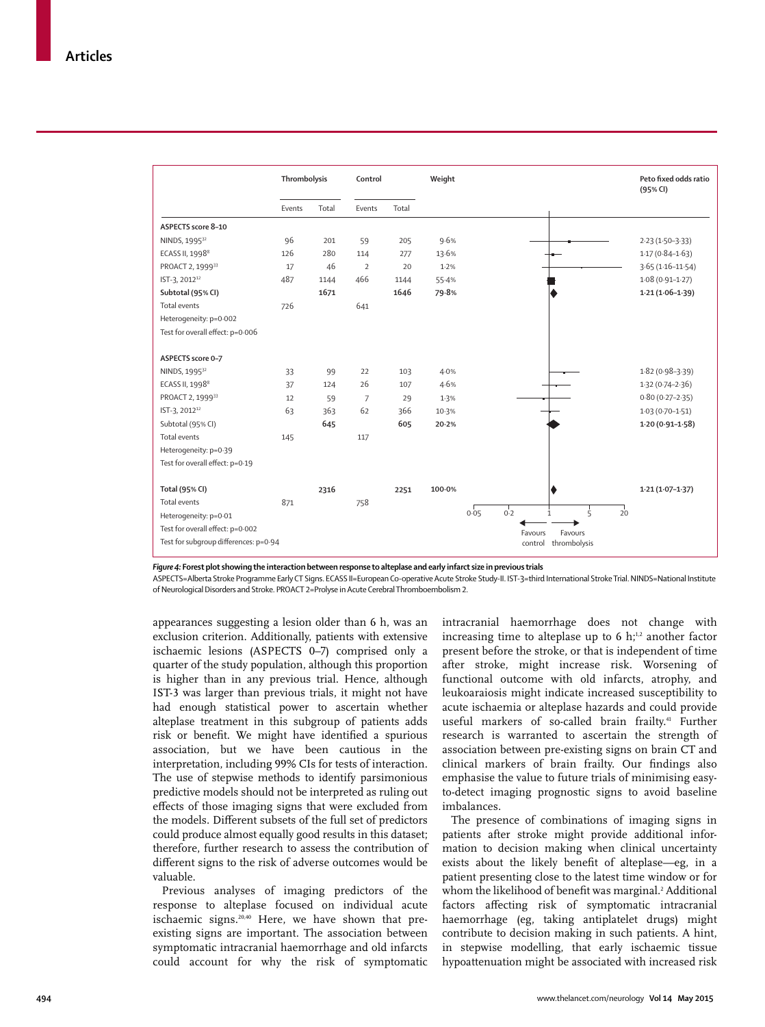|                                       | Thrombolysis |       | Control        |       | Weight |                                              | Peto fixed odds ratio<br>(95% CI) |
|---------------------------------------|--------------|-------|----------------|-------|--------|----------------------------------------------|-----------------------------------|
|                                       | Events       | Total | Events         | Total |        |                                              |                                   |
| ASPECTS score 8-10                    |              |       |                |       |        |                                              |                                   |
| NINDS, 1995 <sup>32</sup>             | 96           | 201   | 59             | 205   | 9.6%   |                                              | $2.23(1.50-3.33)$                 |
| ECASS II, 1998 <sup>8</sup>           | 126          | 280   | 114            | 277   | 13.6%  |                                              | $1.17(0.84 - 1.63)$               |
| PROACT 2, 199933                      | 17           | 46    | $\overline{2}$ | 20    | 1.2%   |                                              | $3.65(1.16 - 11.54)$              |
| IST-3, 2012 <sup>12</sup>             | 487          | 1144  | 466            | 1144  | 55.4%  |                                              | $1.08(0.91 - 1.27)$               |
| Subtotal (95% CI)                     |              | 1671  |                | 1646  | 79.8%  |                                              | $1.21(1.06-1.39)$                 |
| <b>Total events</b>                   | 726          |       | 641            |       |        |                                              |                                   |
| Heterogeneity: p=0.002                |              |       |                |       |        |                                              |                                   |
| Test for overall effect: p=0.006      |              |       |                |       |        |                                              |                                   |
|                                       |              |       |                |       |        |                                              |                                   |
| ASPECTS score 0-7                     |              |       |                |       |        |                                              |                                   |
| NINDS, 1995 <sup>32</sup>             | 33           | 99    | 22             | 103   | 4.0%   |                                              | $1.82(0.98 - 3.39)$               |
| ECASS II, 19988                       | 37           | 124   | 26             | 107   | 4.6%   |                                              | $1.32(0.74 - 2.36)$               |
| PROACT 2, 199933                      | 12           | 59    | $\overline{7}$ | 29    | 1.3%   |                                              | $0.80(0.27 - 2.35)$               |
| IST-3, 2012 <sup>12</sup>             | 63           | 363   | 62             | 366   | 10.3%  |                                              | $1.03(0.70 - 1.51)$               |
| Subtotal (95% CI)                     |              | 645   |                | 605   | 20.2%  |                                              | $1.20(0.91 - 1.58)$               |
| Total events                          | 145          |       | 117            |       |        |                                              |                                   |
| Heterogeneity: p=0.39                 |              |       |                |       |        |                                              |                                   |
| Test for overall effect: p=0.19       |              |       |                |       |        |                                              |                                   |
|                                       |              |       |                |       |        |                                              |                                   |
| Total (95% CI)                        |              | 2316  |                | 2251  | 100.0% |                                              | $1.21(1.07 - 1.37)$               |
| <b>Total events</b>                   | 871          |       | 758            |       |        |                                              |                                   |
| Heterogeneity: p=0.01                 |              |       |                |       |        | $\frac{1}{5}$<br>0.05<br>0.2<br>$\mathbf{1}$ | 20                                |
| Test for overall effect: p=0.002      |              |       |                |       |        | Favours<br>Favours                           |                                   |
| Test for subgroup differences: p=0.94 |              |       |                |       |        | control<br>thrombolysis                      |                                   |

*Figure 4:* **Forest plot showing the interaction between response to alteplase and early infarct size in previous trials**

ASPECTS=Alberta Stroke Programme Early CT Signs. ECASS II=European Co-operative Acute Stroke Study-II. IST-3=third International Stroke Trial. NINDS=National Institute of Neurological Disorders and Stroke . PROACT 2=Prolyse in Acute Cerebral Thromboembolism 2.

appearances suggesting a lesion older than 6 h, was an exclusion criterion. Additionally, patients with extensive ischaemic lesions (ASPECTS 0–7) comprised only a quarter of the study population, although this proportion is higher than in any previous trial. Hence, although IST-3 was larger than previous trials, it might not have had enough statistical power to ascertain whether alteplase treatment in this subgroup of patients adds risk or benefit. We might have identified a spurious association, but we have been cautious in the interpretation, including 99% CIs for tests of interaction. The use of stepwise methods to identify parsimonious predictive models should not be interpreted as ruling out effects of those imaging signs that were excluded from the models. Different subsets of the full set of predictors could produce almost equally good results in this dataset; therefore, further research to assess the contribution of different signs to the risk of adverse outcomes would be valuable.

Previous analyses of imaging predictors of the response to alteplase focused on individual acute ischaemic signs.<sup>20,40</sup> Here, we have shown that preexisting signs are important. The association between symptomatic intracranial haemorrhage and old infarcts could account for why the risk of symptomatic intracranial haemorrhage does not change with increasing time to alteplase up to 6  $h;^{1,2}$  another factor present before the stroke, or that is independent of time after stroke, might increase risk. Worsening of functional outcome with old infarcts, atrophy, and leukoaraiosis might indicate increased susceptibility to acute ischaemia or alteplase hazards and could provide useful markers of so-called brain frailty.<sup>41</sup> Further research is warranted to ascertain the strength of association between pre-existing signs on brain CT and clinical markers of brain frailty. Our findings also emphasise the value to future trials of minimising easyto-detect imaging prognostic signs to avoid baseline imbalances.

The presence of combinations of imaging signs in patients after stroke might provide additional information to decision making when clinical uncertainty exists about the likely benefit of alteplase—eg, in a patient presenting close to the latest time window or for whom the likelihood of benefit was marginal.<sup>2</sup> Additional factors affecting risk of symptomatic intracranial haemorrhage (eg, taking antiplatelet drugs) might contribute to decision making in such patients. A hint, in stepwise modelling, that early ischaemic tissue hypoattenuation might be associated with increased risk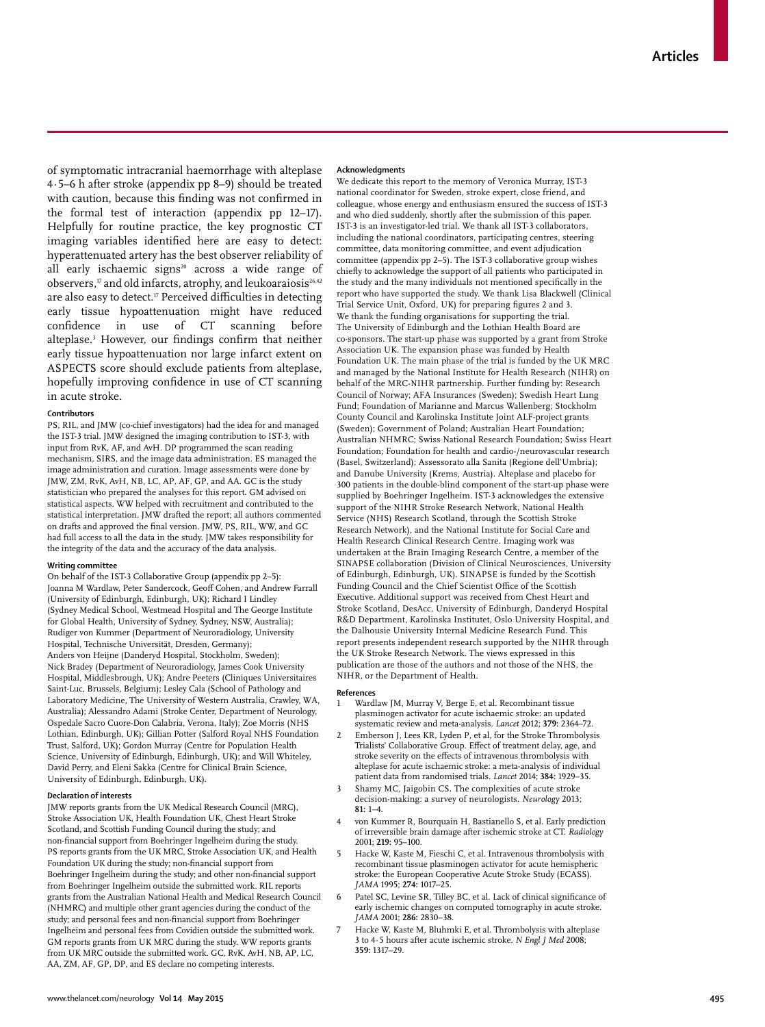of symptomatic intracranial haemorrhage with alteplase 4∙5–6 h after stroke (appendix pp 8–9) should be treated with caution, because this finding was not confirmed in the formal test of interaction (appendix pp 12–17). Helpfully for routine practice, the key prognostic CT imaging variables identified here are easy to detect: hyperattenuated artery has the best observer reliability of all early ischaemic signs<sup>20</sup> across a wide range of observers,<sup>17</sup> and old infarcts, atrophy, and leukoaraiosis<sup>26,42</sup> are also easy to detect.<sup>17</sup> Perceived difficulties in detecting early tissue hypoattenuation might have reduced confidence in use of CT scanning before alteplase.<sup>3</sup> However, our findings confirm that neither early tissue hypoattenuation nor large infarct extent on ASPECTS score should exclude patients from alteplase, hopefully improving confidence in use of CT scanning in acute stroke.

#### **Contributors**

PS, RIL, and JMW (co-chief investigators) had the idea for and managed the IST-3 trial. JMW designed the imaging contribution to IST-3, with input from RvK, AF, and AvH. DP programmed the scan reading mechanism, SIRS, and the image data administration. ES managed the image administration and curation. Image assessments were done by JMW, ZM, RvK, AvH, NB, LC, AP, AF, GP, and AA. GC is the study statistician who prepared the analyses for this report**.** GM advised on statistical aspects. WW helped with recruitment and contributed to the statistical interpretation. JMW drafted the report; all authors commented on drafts and approved the final version. JMW, PS, RIL, WW, and GC had full access to all the data in the study. JMW takes responsibility for the integrity of the data and the accuracy of the data analysis.

#### **Writing committee**

On behalf of the IST-3 Collaborative Group (appendix pp 2–5): Joanna M Wardlaw, Peter Sandercock, Geoff Cohen, and Andrew Farrall (University of Edinburgh, Edinburgh, UK); Richard I Lindley (Sydney Medical School, Westmead Hospital and The George Institute for Global Health, University of Sydney, Sydney, NSW, Australia); Rudiger von Kummer (Department of Neuroradiology, University Hospital, Technische Universität, Dresden, Germany); Anders von Heijne (Danderyd Hospital, Stockholm, Sweden); Nick Bradey (Department of Neuroradiology, James Cook University Hospital, Middlesbrough, UK); Andre Peeters (Cliniques Universitaires Saint-Luc, Brussels, Belgium); Lesley Cala (School of Pathology and Laboratory Medicine, The University of Western Australia, Crawley, WA, Australia); Alessandro Adami (Stroke Center, Department of Neurology, Ospedale Sacro Cuore-Don Calabria, Verona, Italy); Zoe Morris (NHS Lothian, Edinburgh, UK); Gillian Potter (Salford Royal NHS Foundation Trust, Salford, UK); Gordon Murray (Centre for Population Health Science, University of Edinburgh, Edinburgh, UK); and Will Whiteley, David Perry, and Eleni Sakka (Centre for Clinical Brain Science, University of Edinburgh, Edinburgh, UK).

#### **Declaration of interests**

JMW reports grants from the UK Medical Research Council (MRC), Stroke Association UK, Health Foundation UK, Chest Heart Stroke Scotland, and Scottish Funding Council during the study; and non-financial support from Boehringer Ingelheim during the study. PS reports grants from the UK MRC, Stroke Association UK, and Health Foundation UK during the study; non-financial support from Boehringer Ingelheim during the study; and other non-financial support from Boehringer Ingelheim outside the submitted work. RIL reports grants from the Australian National Health and Medical Research Council (NHMRC) and multiple other grant agencies during the conduct of the study; and personal fees and non-financial support from Boehringer Ingelheim and personal fees from Covidien outside the submitted work. GM reports grants from UK MRC during the study. WW reports grants from UK MRC outside the submitted work. GC, RvK, AvH, NB, AP, LC, AA, ZM, AF, GP, DP, and ES declare no competing interests.

#### **Acknowledgments**

We dedicate this report to the memory of Veronica Murray, IST-3 national coordinator for Sweden, stroke expert, close friend, and colleague, whose energy and enthusiasm ensured the success of IST-3 and who died suddenly, shortly after the submission of this paper. IST-3 is an investigator-led trial. We thank all IST-3 collaborators, including the national coordinators, participating centres, steering committee, data monitoring committee, and event adjudication committee (appendix pp 2–5). The IST-3 collaborative group wishes chiefly to acknowledge the support of all patients who participated in the study and the many individuals not mentioned specifically in the report who have supported the study. We thank Lisa Blackwell (Clinical Trial Service Unit, Oxford, UK) for preparing figures 2 and 3. We thank the funding organisations for supporting the trial. The University of Edinburgh and the Lothian Health Board are co-sponsors. The start-up phase was supported by a grant from Stroke Association UK. The expansion phase was funded by Health Foundation UK. The main phase of the trial is funded by the UK MRC and managed by the National Institute for Health Research (NIHR) on behalf of the MRC-NIHR partnership. Further funding by: Research Council of Norway; AFA Insurances (Sweden); Swedish Heart Lung Fund; Foundation of Marianne and Marcus Wallenberg; Stockholm County Council and Karolinska Institute Joint ALF-project grants (Sweden); Government of Poland; Australian Heart Foundation; Australian NHMRC; Swiss National Research Foundation; Swiss Heart Foundation; Foundation for health and cardio-/neurovascular research (Basel, Switzerland); Assessorato alla Sanita (Regione dell'Umbria); and Danube University (Krems, Austria). Alteplase and placebo for 300 patients in the double-blind component of the start-up phase were supplied by Boehringer Ingelheim. IST-3 acknowledges the extensive support of the NIHR Stroke Research Network, National Health Service (NHS) Research Scotland, through the Scottish Stroke Research Network), and the National Institute for Social Care and Health Research Clinical Research Centre. Imaging work was undertaken at the Brain Imaging Research Centre, a member of the SINAPSE collaboration (Division of Clinical Neurosciences, University of Edinburgh, Edinburgh, UK). SINAPSE is funded by the Scottish Funding Council and the Chief Scientist Office of the Scottish Executive. Additional support was received from Chest Heart and Stroke Scotland, DesAcc, University of Edinburgh, Danderyd Hospital R&D Department, Karolinska Institutet, Oslo University Hospital, and the Dalhousie University Internal Medicine Research Fund. This report presents independent research supported by the NIHR through the UK Stroke Research Network. The views expressed in this publication are those of the authors and not those of the NHS, the NIHR, or the Department of Health.

#### **References**

- Wardlaw JM, Murray V, Berge E, et al. Recombinant tissue plasminogen activator for acute ischaemic stroke: an updated systematic review and meta-analysis. *Lancet* 2012; **379:** 2364–72.
- 2 Emberson J, Lees KR, Lyden P, et al, for the Stroke Thrombolysis Trialists' Collaborative Group. Effect of treatment delay, age, and stroke severity on the effects of intravenous thrombolysis with alteplase for acute ischaemic stroke: a meta-analysis of individual patient data from randomised trials. *Lancet* 2014; **384:** 1929–35.
- 3 Shamy MC, Jaigobin CS. The complexities of acute stroke decision-making: a survey of neurologists. *Neurology* 2013; **81:** 1–4.
- von Kummer R, Bourquain H, Bastianello S, et al. Early prediction of irreversible brain damage after ischemic stroke at CT. *Radiology* 2001; **219:** 95–100.
- 5 Hacke W, Kaste M, Fieschi C, et al. Intravenous thrombolysis with recombinant tissue plasminogen activator for acute hemispheric stroke: the European Cooperative Acute Stroke Study (ECASS). *JAMA* 1995; **274:** 1017–25.
- Patel SC, Levine SR, Tilley BC, et al. Lack of clinical significance of early ischemic changes on computed tomography in acute stroke. *JAMA* 2001; **286:** 2830–38.
- Hacke W, Kaste M, Bluhmki E, et al. Thrombolysis with alteplase 3 to 4·5 hours after acute ischemic stroke. *N Engl J Med* 2008; **359:** 1317–29.